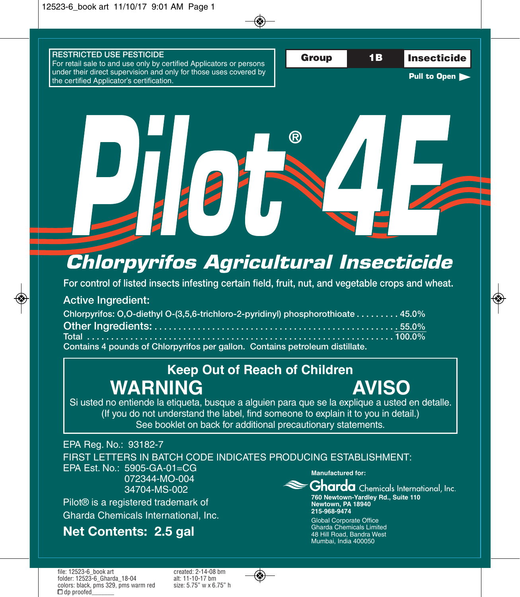#### **RESTRICTED USE PESTICIDE**

For retail sale to and use only by certified Applicators or persons under their direct supervision and only for those uses covered by the certified Applicator's certification.





# Chlorpyrifos Agricultural Insecticide

R

**For control of listed insects infesting certain field, fruit, nut, and vegetable crops and wheat.**

## **Active Ingredient:**

| Chlorpyrifos: O,O-diethyl O-(3,5,6-trichloro-2-pyridinyl) phosphorothioate 45.0% |  |
|----------------------------------------------------------------------------------|--|
|                                                                                  |  |
|                                                                                  |  |
| Contains 4 pounds of Chlorpyrifos per gallon. Contains petroleum distillate.     |  |

## **Keep Out of Reach of Children WARNING AVISO**

Si usted no entiende la etiqueta, busque a alguien para que se la explique a usted en detalle. (If you do not understand the label, find someone to explain it to you in detail.) See booklet on back for additional precautionary statements.

EPA Reg. No.: 93182-7 FIRST LETTERS IN BATCH CODE INDICATES PRODUCING ESTABLISHMENT: EPA Est. No.: 5905-GA-01=CG **Manufactured for:** 072344-MO-004 **Gharda** Chemicals International, Inc. 34704-MS-002

Pilot® is a registered trademark of Gharda Chemicals International, Inc.

**Net Contents: 2.5 gal**

**760 Newtown-Yardley Rd., Suite 110 Newtown, PA 18940 215-968-9474**

Global Corporate Office Gharda Chemicals Limited 48 Hill Road, Bandra West Mumbai, India 400050

file: 12523-6\_book art created: 2-14-08 bm folder: 12523-6\_Gharda\_18-04 alt: 11-10-17 bm  $colors: black. \overline{p}$  pms  $329. \overline{p}$  ms warm red  $\Box$  dp proofed\_

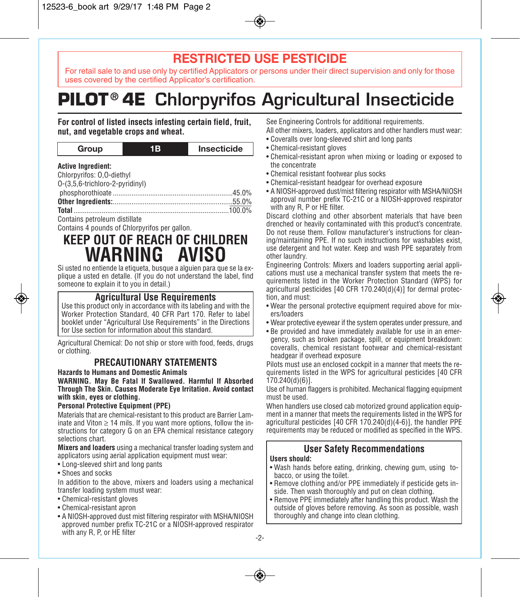## **RESTRICTED USE PESTICIDE**

For retail sale to and use only by certified Applicators or persons under their direct supervision and only for those uses covered by the certified Applicator's certification.

# **PILOT ® 4E Chlorpyrifos Agricultural Insecticide**

#### **For control of listed insects infesting certain field, fruit, nut, and vegetable crops and wheat.**

| Group                           | 1Β | <b>Insecticide</b> |
|---------------------------------|----|--------------------|
| <b>Active Ingredient:</b>       |    |                    |
| Chlorpyrifos: 0.0-diethyl       |    |                    |
| 0-(3,5,6-trichloro-2-pyridinyl) |    |                    |
| phosphorothioate                |    | .45.0%             |

**Other Ingredients:**................................................................55.0% **Total**...................................................................................100.0%

Contains petroleum distillate

Contains 4 pounds of Chlorpyrifos per gallon.

## **KEEP OUT OF REACH OF CHILDREN WARNING AVISO**

Si usted no entiende la etiqueta, busque a alguien para que se la explique a usted en detalle. (If you do not understand the label, find someone to explain it to you in detail.)

## **Agricultural Use Requirements**

Use this product only in accordance with its labeling and with the Worker Protection Standard, 40 CFR Part 170. Refer to label booklet under "Agricultural Use Requirements" in the Directions for Use section for information about this standard.

Agricultural Chemical: Do not ship or store with food, feeds, drugs or clothing.

## **PRECAUTIONARY STATEMENTS**

#### **Hazards to Humans and Domestic Animals**

**WARNING. May Be Fatal If Swallowed. Harmful If Absorbed Through The Skin. Causes Moderate Eye Irritation. Avoid contact with skin, eyes or clothing.**

#### **Personal Protective Equipment (PPE)**

Materials that are chemical-resistant to this product are Barrier Laminate and Viton ≥ 14 mils. If you want more options, follow the instructions for category G on an EPA chemical resistance category selections chart.

**Mixers and loaders** using a mechanical transfer loading system and applicators using aerial application equipment must wear:

- Long-sleeved shirt and long pants
- Shoes and socks

In addition to the above, mixers and loaders using a mechanical transfer loading system must wear:

- Chemical-resistant gloves
- Chemical-resistant apron
- A NIOSH-approved dust mist filtering respirator with MSHA/NIOSH approved number prefix TC-21C or a NIOSH-approved respirator with any R, P, or HE filter

See Engineering Controls for additional requirements. All other mixers, loaders, applicators and other handlers must wear:

- Coveralls over long-sleeved shirt and long pants
- Chemical-resistant gloves
- Chemical-resistant apron when mixing or loading or exposed to the concentrate
- Chemical resistant footwear plus socks
- Chemical-resistant headgear for overhead exposure
- A NIOSH-approved dust/mist filtering respirator with MSHA/NIOSH approval number prefix TC-21C or a NIOSH-approved respirator with any R, P or HE filter.

Discard clothing and other absorbent materials that have been drenched or heavily contaminated with this product's concentrate. Do not reuse them. Follow manufacturer's instructions for cleaning/maintaining PPE. If no such instructions for washables exist, use detergent and hot water. Keep and wash PPE separately from other laundry.

Engineering Controls: Mixers and loaders supporting aerial applications must use a mechanical transfer system that meets the requirements listed in the Worker Protection Standard (WPS) for agricultural pesticides [40 CFR 170.240(d)(4)] for dermal protection, and must:

- Wear the personal protective equipment required above for mixers/loaders
- Wear protective eyewear if the system operates under pressure, and
- Be provided and have immediately available for use in an emergency, such as broken package, spill, or equipment breakdown: coveralls, chemical resistant footwear and chemical-resistant headgear if overhead exposure

Pilots must use an enclosed cockpit in a manner that meets the requirements listed in the WPS for agricultural pesticides [40 CFR 170.240(d)(6)].

Use of human flaggers is prohibited. Mechanical flagging equipment must be used.

When handlers use closed cab motorized ground application equipment in a manner that meets the requirements listed in the WPS for agricultural pesticides [40 CFR 170.240(d)(4-6)], the handler PPE requirements may be reduced or modified as specified in the WPS.

## **User Safety Recommendations**

## **Users should:**

- Wash hands before eating, drinking, chewing gum, using tobacco, or using the toilet.
- Remove clothing and/or PPE immediately if pesticide gets inside. Then wash thoroughly and put on clean clothing.
- Remove PPE immediately after handling this product. Wash the outside of gloves before removing. As soon as possible, wash thoroughly and change into clean clothing.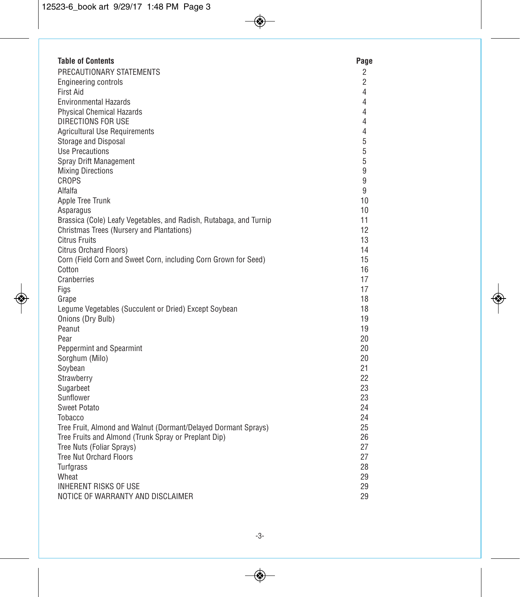$\bigcirc$ 

| <b>Table of Contents</b>                                           | Page     |
|--------------------------------------------------------------------|----------|
| PRECAUTIONARY STATEMENTS                                           | 2        |
| <b>Engineering controls</b>                                        | 2        |
| <b>First Aid</b>                                                   | 4        |
| <b>Environmental Hazards</b>                                       | 4        |
| <b>Physical Chemical Hazards</b>                                   | 4        |
| DIRECTIONS FOR USE                                                 | 4        |
| <b>Agricultural Use Requirements</b>                               | 4        |
| <b>Storage and Disposal</b>                                        | 5        |
| <b>Use Precautions</b>                                             | 5        |
| Spray Drift Management                                             | 5        |
| <b>Mixing Directions</b>                                           | 9        |
| CROPS                                                              | 9        |
| Alfalfa                                                            | 9        |
| Apple Tree Trunk                                                   | 10       |
| Asparagus                                                          | 10       |
| Brassica (Cole) Leafy Vegetables, and Radish, Rutabaga, and Turnip | 11       |
| Christmas Trees (Nursery and Plantations)                          | 12       |
| <b>Citrus Fruits</b>                                               | 13       |
| Citrus Orchard Floors)                                             | 14       |
| Corn (Field Corn and Sweet Corn, including Corn Grown for Seed)    | 15       |
| Cotton                                                             | 16       |
| Cranberries                                                        | 17       |
| Figs                                                               | 17       |
| Grape                                                              | 18       |
| Legume Vegetables (Succulent or Dried) Except Soybean              | 18       |
| Onions (Dry Bulb)                                                  | 19       |
| Peanut<br>Pear                                                     | 19<br>20 |
| <b>Peppermint and Spearmint</b>                                    | 20       |
| Sorghum (Milo)                                                     | 20       |
| Soybean                                                            | 21       |
| Strawberry                                                         | 22       |
| Sugarbeet                                                          | 23       |
| Sunflower                                                          | 23       |
| <b>Sweet Potato</b>                                                | 24       |
| Tobacco                                                            | 24       |
| Tree Fruit, Almond and Walnut (Dormant/Delayed Dormant Sprays)     | 25       |
| Tree Fruits and Almond (Trunk Spray or Preplant Dip)               | 26       |
| Tree Nuts (Foliar Sprays)                                          | 27       |
| <b>Tree Nut Orchard Floors</b>                                     | 27       |
| Turfgrass                                                          | 28       |
| Wheat                                                              | 29       |
| INHERENT RISKS OF USE                                              | 29       |
| NOTICE OF WARRANTY AND DISCLAIMER                                  | 29       |

 $\bigoplus$ 

 $\overline{\bullet}$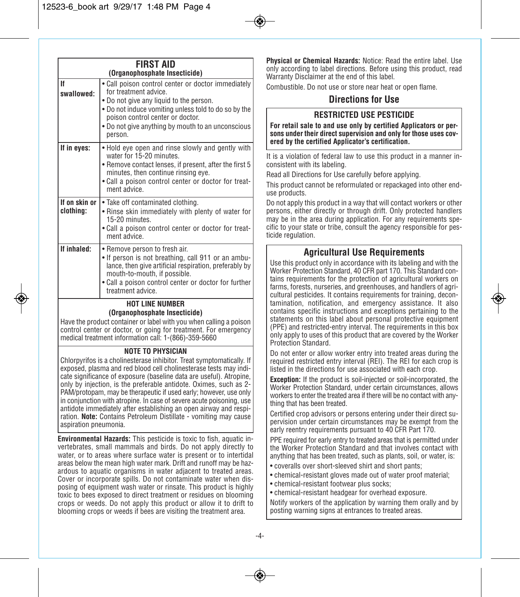| <b>FIRST AID</b><br>(Organophosphate Insecticide)                                                                                                                                                                                                                                                                                                                                                                                                                                                                                                                                                                                 |                                                                                                                                                                                                                                                                                    |  |
|-----------------------------------------------------------------------------------------------------------------------------------------------------------------------------------------------------------------------------------------------------------------------------------------------------------------------------------------------------------------------------------------------------------------------------------------------------------------------------------------------------------------------------------------------------------------------------------------------------------------------------------|------------------------------------------------------------------------------------------------------------------------------------------------------------------------------------------------------------------------------------------------------------------------------------|--|
| lf<br>swallowed:                                                                                                                                                                                                                                                                                                                                                                                                                                                                                                                                                                                                                  | • Call poison control center or doctor immediately<br>for treatment advice.<br>• Do not give any liquid to the person.<br>. Do not induce vomiting unless told to do so by the<br>poison control center or doctor.<br>• Do not give anything by mouth to an unconscious<br>person. |  |
| If in eyes:                                                                                                                                                                                                                                                                                                                                                                                                                                                                                                                                                                                                                       | . Hold eye open and rinse slowly and gently with<br>water for 15-20 minutes.<br>. Remove contact lenses, if present, after the first 5<br>minutes, then continue rinsing eye.<br>. Call a poison control center or doctor for treat-<br>ment advice.                               |  |
| If on skin or<br>clothing:                                                                                                                                                                                                                                                                                                                                                                                                                                                                                                                                                                                                        | • Take off contaminated clothing.<br>. Rinse skin immediately with plenty of water for<br>15-20 minutes.<br>• Call a poison control center or doctor for treat-<br>ment advice.                                                                                                    |  |
| If inhaled:                                                                                                                                                                                                                                                                                                                                                                                                                                                                                                                                                                                                                       | • Remove person to fresh air.<br>• If person is not breathing, call 911 or an ambu-<br>lance, then give artificial respiration, preferably by<br>mouth-to-mouth, if possible.<br>• Call a poison control center or doctor for further<br>treatment advice.                         |  |
| <b>HOT LINE NUMBER</b><br>(Organophosphate Insecticide)<br>Have the product container or label with you when calling a poison<br>control center or doctor, or going for treatment. For emergency<br>medical treatment information call: 1-(866)-359-5660                                                                                                                                                                                                                                                                                                                                                                          |                                                                                                                                                                                                                                                                                    |  |
| <b>NOTE TO PHYSICIAN</b><br>Chlorpyrifos is a cholinesterase inhibitor. Treat symptomatically. If<br>exposed, plasma and red blood cell cholinesterase tests may indi-<br>cate significance of exposure (baseline data are useful). Atropine,<br>only by injection, is the preferable antidote. Oximes, such as 2-<br>PAM/protopam, may be therapeutic if used early; however, use only<br>in conjunction with atropine. In case of severe acute poisoning, use<br>antidote immediately after establishing an open airway and respi-<br>ration. Note: Contains Petroleum Distillate - vomiting may cause<br>aspiration pneumonia. |                                                                                                                                                                                                                                                                                    |  |
| Environmental Hazards: This pesticide is toxic to fish, aquatic in-<br>vertebrates, small mammals and birds. Do not apply directly to<br>water, or to areas where surface water is present or to intertidal<br>areas below the mean high water mark. Drift and runoff may be haz-<br>ardous to aquatic organisms in water adjacent to treated areas.<br>Cover or incorporate spills. Do not contaminate water when dis-                                                                                                                                                                                                           |                                                                                                                                                                                                                                                                                    |  |

posing of equipment wash water or rinsate. This product is highly toxic to bees exposed to direct treatment or residues on blooming crops or weeds. Do not apply this product or allow it to drift to blooming crops or weeds if bees are visiting the treatment area.

**Physical or Chemical Hazards:** Notice: Read the entire label. Use only according to label directions. Before using this product, read Warranty Disclaimer at the end of this label.

Combustible. Do not use or store near heat or open flame.

#### **Directions for Use**

### **RESTRICTED USE PESTICIDE**

**For retail sale to and use only by certified Applicators or persons under their direct supervision and only for those uses covered by the certified Applicator's certification.**

It is a violation of federal law to use this product in a manner inconsistent with its labeling.

Read all Directions for Use carefully before applying.

This product cannot be reformulated or repackaged into other enduse products.

Do not apply this product in a way that will contact workers or other persons, either directly or through drift. Only protected handlers may be in the area during application. For any requirements specific to your state or tribe, consult the agency responsible for pesticide regulation.

## **Agricultural Use Requirements**

Use this product only in accordance with its labeling and with the Worker Protection Standard, 40 CFR part 170. This Standard contains requirements for the protection of agricultural workers on farms, forests, nurseries, and greenhouses, and handlers of agricultural pesticides. It contains requirements for training, decontamination, notification, and emergency assistance. It also contains specific instructions and exceptions pertaining to the statements on this label about personal protective equipment (PPE) and restricted-entry interval. The requirements in this box only apply to uses of this product that are covered by the Worker Protection Standard.

Do not enter or allow worker entry into treated areas during the required restricted entry interval (REI). The REI for each crop is listed in the directions for use associated with each crop.

**Exception:** If the product is soil-injected or soil-incorporated, the Worker Protection Standard, under certain circumstances, allows workers to enter the treated area if there will be no contact with anything that has been treated.

Certified crop advisors or persons entering under their direct supervision under certain circumstances may be exempt from the early reentry requirements pursuant to 40 CFR Part 170.

PPE required for early entry to treated areas that is permitted under the Worker Protection Standard and that involves contact with anything that has been treated, such as plants, soil, or water, is:

- coveralls over short-sleeved shirt and short pants;
- chemical-resistant gloves made out of water proof material;
- chemical-resistant footwear plus socks;
- chemical-resistant headgear for overhead exposure.

Notify workers of the application by warning them orally and by posting warning signs at entrances to treated areas.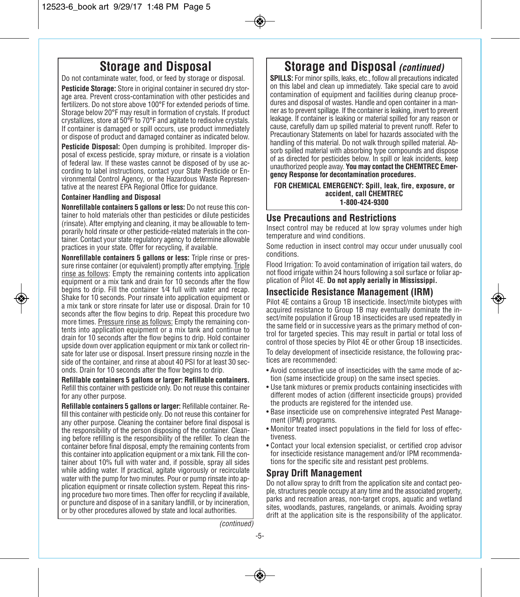## **Storage and Disposal**

Do not contaminate water, food, or feed by storage or disposal.

**Pesticide Storage:** Store in original container in secured dry storage area. Prevent cross-contamination with other pesticides and fertilizers. Do not store above 100°F for extended periods of time. Storage below 20°F may result in formation of crystals. If product crystallizes, store at 50°F to 70°F and agitate to redisolve crystals. If container is damaged or spill occurs, use product immediately or dispose of product and damaged container as indicated below.

**Pesticide Disposal:** Open dumping is prohibited. Improper disposal of excess pesticide, spray mixture, or rinsate is a violation of federal law. If these wastes cannot be disposed of by use according to label instructions, contact your State Pesticide or Environmental Control Agency, or the Hazardous Waste Representative at the nearest EPA Regional Office for guidance.

#### **Container Handling and Disposal**

**Nonrefillable containers 5 gallons or less:** Do not reuse this container to hold materials other than pesticides or dilute pesticides (rinsate). After emptying and cleaning, it may be allowable to temporarily hold rinsate or other pesticide-related materials in the container. Contact your state regulatory agency to determine allowable practices in your state. Offer for recycling, if available.

**Nonrefillable containers 5 gallons or less:** Triple rinse or pressure rinse container (or equivalent) promptly after emptying. Triple rinse as follows: Empty the remaining contents into application equipment or a mix tank and drain for 10 seconds after the flow begins to drip. Fill the container 1⁄4 full with water and recap. Shake for 10 seconds. Pour rinsate into application equipment or a mix tank or store rinsate for later use or disposal. Drain for 10 seconds after the flow begins to drip. Repeat this procedure two more times. Pressure rinse as follows: Empty the remaining contents into application equipment or a mix tank and continue to drain for 10 seconds after the flow begins to drip. Hold container upside down over application equipment or mix tank or collect rinsate for later use or disposal. Insert pressure rinsing nozzle in the side of the container, and rinse at about 40 PSI for at least 30 seconds. Drain for 10 seconds after the flow begins to drip.

**Refillable containers 5 gallons or larger: Refillable containers.** Refill this container with pesticide only. Do not reuse this container for any other purpose.

**Refillable containers 5 gallons or larger:** Refillable container. Refill this container with pesticide only. Do not reuse this container for any other purpose. Cleaning the container before final disposal is the responsibility of the person disposing of the container. Cleaning before refilling is the responsibility of the refiller. To clean the container before final disposal, empty the remaining contents from this container into application equipment or a mix tank. Fill the container about 10% full with water and, if possible, spray all sides while adding water. If practical, agitate vigorously or recirculate water with the pump for two minutes. Pour or pump rinsate into application equipment or rinsate collection system. Repeat this rinsing procedure two more times. Then offer for recycling if available, or puncture and dispose of in a sanitary landfill, or by incineration, or by other procedures allowed by state and local authorities.

**Storage and Disposal** *(continued)*

**SPILLS:** For minor spills, leaks, etc., follow all precautions indicated on this label and clean up immediately. Take special care to avoid contamination of equipment and facilities during cleanup procedures and disposal of wastes. Handle and open container in a manner as to prevent spillage. If the container is leaking, invert to prevent leakage. If container is leaking or material spilled for any reason or cause, carefully dam up spilled material to prevent runoff. Refer to Precautionary Statements on label for hazards associated with the handling of this material. Do not walk through spilled material. Absorb spilled material with absorbing type compounds and dispose of as directed for pesticides below. In spill or leak incidents, keep unauthorized people away. **You may contact the CHEMTREC Emergency Response for decontamination procedures.**

**FOR CHEMICAL EMERGENCY: Spill, leak, fire, exposure, or accident, call CHEMTREC 1-800-424-9300**

#### **Use Precautions and Restrictions**

Insect control may be reduced at low spray volumes under high temperature and wind conditions.

Some reduction in insect control may occur under unusually cool conditions.

Flood Irrigation: To avoid contamination of irrigation tail waters, do not flood irrigate within 24 hours following a soil surface or foliar application of Pilot 4E. **Do not apply aerially in Mississippi.**

## **Insecticide Resistance Management (IRM)**

Pilot 4E contains a Group 1B insecticide. Insect/mite biotypes with acquired resistance to Group 1B may eventually dominate the insect/mite population if Group 1B insecticides are used repeatedly in the same field or in successive years as the primary method of control for targeted species. This may result in partial or total loss of control of those species by Pilot 4E or other Group 1B insecticides. To delay development of insecticide resistance, the following practices are recommended:

- Avoid consecutive use of insecticides with the same mode of action (same insecticide group) on the same insect species.
- Use tank mixtures or premix products containing insecticides with different modes of action (different insecticide groups) provided the products are registered for the intended use.
- Base insecticide use on comprehensive integrated Pest Management (IPM) programs.
- Monitor treated insect populations in the field for loss of effectiveness.
- Contact your local extension specialist, or certified crop advisor for insecticide resistance management and/or IPM recommendations for the specific site and resistant pest problems.

#### **Spray Drift Management**

Do not allow spray to drift from the application site and contact people, structures people occupy at any time and the associated property, parks and recreation areas, non-target crops, aquatic and wetland sites, woodlands, pastures, rangelands, or animals. Avoiding spray drift at the application site is the responsibility of the applicator.

*(continued)*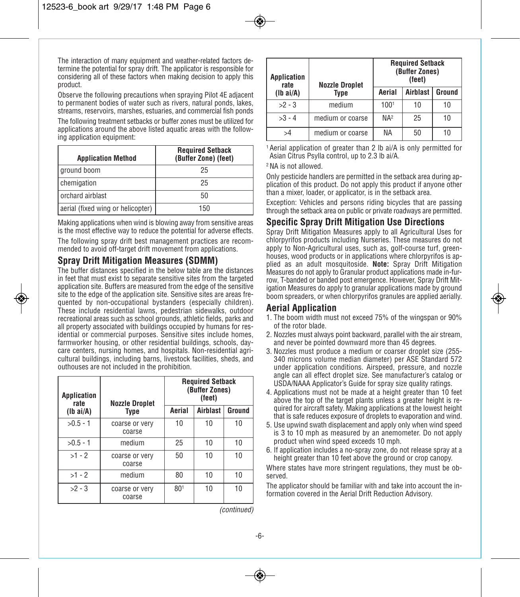The interaction of many equipment and weather-related factors determine the potential for spray drift. The applicator is responsible for considering all of these factors when making decision to apply this product.

Observe the following precautions when spraying Pilot 4E adjacent to permanent bodies of water such as rivers, natural ponds, lakes, streams, reservoirs, marshes, estuaries, and commercial fish ponds The following treatment setbacks or buffer zones must be utilized for applications around the above listed aquatic areas with the following application equipment:

| <b>Application Method</b>         | <b>Required Setback</b><br>(Buffer Zone) (feet) |
|-----------------------------------|-------------------------------------------------|
| ground boom                       | 25                                              |
| chemigation                       | 25                                              |
| orchard airblast                  | 50                                              |
| aerial (fixed wing or helicopter) | 150                                             |

Making applications when wind is blowing away from sensitive areas is the most effective way to reduce the potential for adverse effects.

The following spray drift best management practices are recommended to avoid off-target drift movement from applications.

#### **Spray Drift Mitigation Measures (SDMM)**

The buffer distances specified in the below table are the distances in feet that must exist to separate sensitive sites from the targeted application site. Buffers are measured from the edge of the sensitive site to the edge of the application site. Sensitive sites are areas frequented by non-occupational bystanders (especially children). These include residential lawns, pedestrian sidewalks, outdoor recreational areas such as school grounds, athletic fields, parks and all property associated with buildings occupied by humans for residential or commercial purposes. Sensitive sites include homes, farmworker housing, or other residential buildings, schools, daycare centers, nursing homes, and hospitals. Non-residential agricultural buildings, including barns, livestock facilities, sheds, and outhouses are not included in the prohibition.

| <b>Application</b><br>rate | <b>Nozzle Droplet</b>    | <b>Required Setback</b><br>(Buffer Zones)<br>(feet) |                 |        |
|----------------------------|--------------------------|-----------------------------------------------------|-----------------|--------|
| $(lb\text{ ai/A})$         | <b>Type</b>              | Aerial                                              | <b>Airblast</b> | Ground |
| $>0.5 - 1$                 | coarse or very<br>coarse | 10                                                  | 10              | 10     |
| $>0.5 - 1$                 | medium                   | 25                                                  | 10              | 10     |
| $>1 - 2$                   | coarse or very<br>coarse | 50                                                  | 10              | 10     |
| $>1 - 2$                   | medium                   | 80                                                  | 10              | 10     |
| $>2 - 3$                   | coarse or very<br>coarse | 80 <sup>1</sup>                                     | 10              | 10     |

*(continued)*

| Application<br>rate | <b>Nozzle Droplet</b> |                 | <b>Required Setback</b><br>(Buffer Zones)<br>(feet) |        |
|---------------------|-----------------------|-----------------|-----------------------------------------------------|--------|
| $(lb\text{ ai/A})$  | Type                  | Aerial          | Airblast                                            | Ground |
| $>2 - 3$            | medium                | 1001            | 10                                                  | 10     |
| $>3 - 4$            | medium or coarse      | NA <sup>2</sup> | 25                                                  | 10     |
| >4                  | medium or coarse      | ΝA              | 50                                                  | 10     |

<sup>1</sup> Aerial application of greater than 2 lb ai/A is only permitted for Asian Citrus Psylla control, up to 2.3 lb ai/A.

2NA is not allowed.

Only pesticide handlers are permitted in the setback area during application of this product. Do not apply this product if anyone other than a mixer, loader, or applicator, is in the setback area.

Exception: Vehicles and persons riding bicycles that are passing through the setback area on public or private roadways are permitted.

#### **Specific Spray Drift Mitigation Use Directions**

Spray Drift Mitigation Measures apply to all Agricultural Uses for chlorpyrifos products including Nurseries. These measures do not apply to Non-Agricultural uses, such as, golf-course turf, greenhouses, wood products or in applications where chlorpyrifos is applied as an adult mosquitoside. **Note:** Spray Drift Mitigation Measures do not apply to Granular product applications made in-furrow, T-banded or banded post emergence. However, Spray Drift Mitigation Measures do apply to granular applications made by ground boom spreaders, or when chlorpyrifos granules are applied aerially.

#### **Aerial Application**

- 1. The boom width must not exceed 75% of the wingspan or 90% of the rotor blade.
- 2. Nozzles must always point backward, parallel with the air stream, and never be pointed downward more than 45 degrees.
- 3. Nozzles must produce a medium or coarser droplet size (255- 340 microns volume median diameter) per ASE Standard 572 under application conditions. Airspeed, pressure, and nozzle angle can all effect droplet size. See manufacturer's catalog or USDA/NAAA Applicator's Guide for spray size quality ratings.
- 4. Applications must not be made at a height greater than 10 feet above the top of the target plants unless a greater height is required for aircraft safety. Making applications at the lowest height that is safe reduces exposure of droplets to evaporation and wind.
- 5. Use upwind swath displacement and apply only when wind speed is 3 to 10 mph as measured by an anemometer. Do not apply product when wind speed exceeds 10 mph.
- 6. If application includes a no-spray zone, do not release spray at a height greater than 10 feet above the ground or crop canopy.

Where states have more stringent regulations, they must be observed.

The applicator should be familiar with and take into account the information covered in the Aerial Drift Reduction Advisory.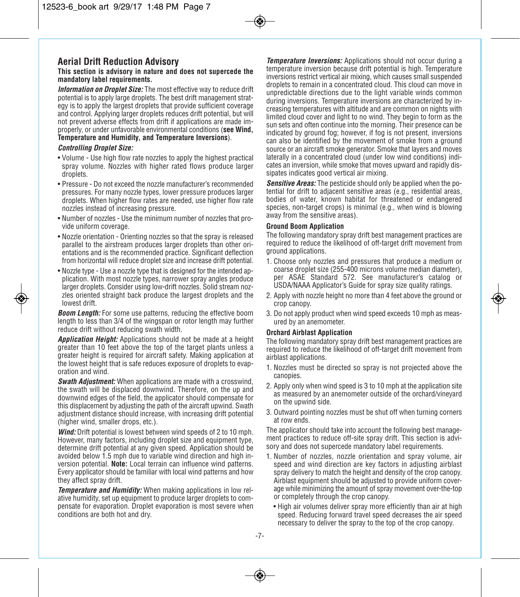#### **Aerial Drift Reduction Advisory**

#### **This section is advisory in nature and does not supercede the mandatory label requirements.**

*Information on Droplet Size:* The most effective way to reduce drift potential is to apply large droplets. The best drift management strategy is to apply the largest droplets that provide sufficient coverage and control. Applying larger droplets reduces drift potential, but will not prevent adverse effects from drift if applications are made improperly, or under unfavorable environmental conditions (**see Wind, Temperature and Humidity, and Temperature Inversions**).

#### *Controlling Droplet Size:*

- Volume Use high flow rate nozzles to apply the highest practical spray volume. Nozzles with higher rated flows produce larger droplets.
- Pressure Do not exceed the nozzle manufacturer's recommended pressures. For many nozzle types, lower pressure produces larger droplets. When higher flow rates are needed, use higher flow rate nozzles instead of increasing pressure.
- Number of nozzles Use the minimum number of nozzles that provide uniform coverage.
- Nozzle orientation Orienting nozzles so that the spray is released parallel to the airstream produces larger droplets than other orientations and is the recommended practice. Significant deflection from horizontal will reduce droplet size and increase drift potential.
- Nozzle type Use a nozzle type that is designed for the intended application. With most nozzle types, narrower spray angles produce larger droplets. Consider using low-drift nozzles. Solid stream nozzles oriented straight back produce the largest droplets and the lowest drift.

*Boom Length:* For some use patterns, reducing the effective boom length to less than 3/4 of the wingspan or rotor length may further reduce drift without reducing swath width.

*Application Height:* Applications should not be made at a height greater than 10 feet above the top of the target plants unless a greater height is required for aircraft safety. Making application at the lowest height that is safe reduces exposure of droplets to evaporation and wind.

*Swath Adjustment:* When applications are made with a crosswind, the swath will be displaced downwind. Therefore, on the up and downwind edges of the field, the applicator should compensate for this displacement by adjusting the path of the aircraft upwind. Swath adjustment distance should increase, with increasing drift potential (higher wind, smaller drops, etc.).

*Wind:* Drift potential is lowest between wind speeds of 2 to 10 mph. However, many factors, including droplet size and equipment type, determine drift potential at any given speed. Application should be avoided below 1.5 mph due to variable wind direction and high inversion potential. **Note:** Local terrain can influence wind patterns. Every applicator should be familiar with local wind patterns and how they affect spray drift.

*Temperature and Humidity:* When making applications in low relative humidity, set up equipment to produce larger droplets to compensate for evaporation. Droplet evaporation is most severe when conditions are both hot and dry.

*Temperature Inversions:* Applications should not occur during a temperature inversion because drift potential is high. Temperature inversions restrict vertical air mixing, which causes small suspended droplets to remain in a concentrated cloud. This cloud can move in unpredictable directions due to the light variable winds common during inversions. Temperature inversions are characterized by increasing temperatures with altitude and are common on nights with limited cloud cover and light to no wind. They begin to form as the sun sets and often continue into the morning. Their presence can be indicated by ground fog; however, if fog is not present, inversions can also be identified by the movement of smoke from a ground source or an aircraft smoke generator. Smoke that layers and moves laterally in a concentrated cloud (under low wind conditions) indicates an inversion, while smoke that moves upward and rapidly dissipates indicates good vertical air mixing.

*Sensitive Areas:* The pesticide should only be applied when the potential for drift to adjacent sensitive areas (e.g., residential areas, bodies of water, known habitat for threatened or endangered species, non-target crops) is minimal (e.g., when wind is blowing away from the sensitive areas).

#### **Ground Boom Application**

The following mandatory spray drift best management practices are required to reduce the likelihood of off-target drift movement from ground applications.

- 1. Choose only nozzles and pressures that produce a medium or coarse droplet size (255-400 microns volume median diameter), per ASAE Standard 572. See manufacturer's catalog or USDA/NAAA Applicator's Guide for spray size quality ratings.
- 2. Apply with nozzle height no more than 4 feet above the ground or crop canopy.
- 3. Do not apply product when wind speed exceeds 10 mph as measured by an anemometer.

#### **Orchard Airblast Application**

The following mandatory spray drift best management practices are required to reduce the likelihood of off-target drift movement from airblast applications.

- 1. Nozzles must be directed so spray is not projected above the canopies.
- 2. Apply only when wind speed is 3 to 10 mph at the application site as measured by an anemometer outside of the orchard/vineyard on the upwind side.
- 3. Outward pointing nozzles must be shut off when turning corners at row ends.

The applicator should take into account the following best management practices to reduce off-site spray drift. This section is advisory and does not supercede mandatory label requirements.

- 1. Number of nozzles, nozzle orientation and spray volume, air speed and wind direction are key factors in adjusting airblast spray delivery to match the height and density of the crop canopy. Airblast equipment should be adjusted to provide uniform coverage while minimizing the amount of spray movement over-the-top or completely through the crop canopy.
- High air volumes deliver spray more efficiently than air at high speed. Reducing forward travel speed decreases the air speed necessary to deliver the spray to the top of the crop canopy.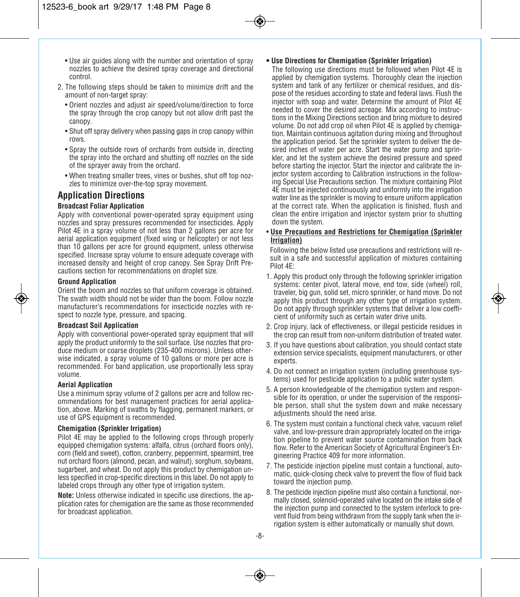- Use air guides along with the number and orientation of spray nozzles to achieve the desired spray coverage and directional control.
- 2. The following steps should be taken to minimize drift and the amount of non-target spray:
	- Orient nozzles and adjust air speed/volume/direction to force the spray through the crop canopy but not allow drift past the canopy.
	- Shut off spray delivery when passing gaps in crop canopy within rows.
	- Spray the outside rows of orchards from outside in, directing the spray into the orchard and shutting off nozzles on the side of the sprayer away from the orchard.
	- When treating smaller trees, vines or bushes, shut off top nozzles to minimize over-the-top spray movement.

## **Application Directions**

#### **Broadcast Foliar Application**

Apply with conventional power-operated spray equipment using nozzles and spray pressures recommended for insecticides. Apply Pilot 4E in a spray volume of not less than 2 gallons per acre for aerial application equipment (fixed wing or helicopter) or not less than 10 gallons per acre for ground equipment, unless otherwise specified. Increase spray volume to ensure adequate coverage with increased density and height of crop canopy. See Spray Drift Precautions section for recommendations on droplet size.

#### **Ground Application**

Orient the boom and nozzles so that uniform coverage is obtained. The swath width should not be wider than the boom. Follow nozzle manufacturer's recommendations for insecticide nozzles with respect to nozzle type, pressure, and spacing.

#### **Broadcast Soil Application**

Apply with conventional power-operated spray equipment that will apply the product uniformly to the soil surface. Use nozzles that produce medium or coarse droplets (235-400 microns). Unless otherwise indicated, a spray volume of 10 gallons or more per acre is recommended. For band application, use proportionally less spray volume.

#### **Aerial Application**

Use a minimum spray volume of 2 gallons per acre and follow recommendations for best management practices for aerial application, above. Marking of swaths by flagging, permanent markers, or use of GPS equipment is recommended.

#### **Chemigation (Sprinkler Irrigation)**

Pilot 4E may be applied to the following crops through properly equipped chemigation systems: alfalfa, citrus (orchard floors only), corn (field and sweet), cotton, cranberry, peppermint, spearmint, tree nut orchard floors (almond, pecan, and walnut), sorghum, soybeans, sugarbeet, and wheat. Do not apply this product by chemigation unless specified in crop-specific directions in this label. Do not apply to labeled crops through any other type of irrigation system.

**Note:** Unless otherwise indicated in specific use directions, the application rates for chemigation are the same as those recommended for broadcast application.

#### **• Use Directions for Chemigation (Sprinkler Irrigation)**

The following use directions must be followed when Pilot 4E is applied by chemigation systems. Thoroughly clean the injection system and tank of any fertilizer or chemical residues, and dispose of the residues according to state and federal laws. Flush the injector with soap and water. Determine the amount of Pilot 4E needed to cover the desired acreage. Mix according to instructions in the Mixing Directions section and bring mixture to desired volume. Do not add crop oil when Pilot 4E is applied by chemigation. Maintain continuous agitation during mixing and throughout the application period. Set the sprinkler system to deliver the desired inches of water per acre. Start the water pump and sprinkler, and let the system achieve the desired pressure and speed before starting the injector. Start the injector and calibrate the injector system according to Calibration instructions in the following Special Use Precautions section. The mixture containing Pilot 4E must be injected continuously and uniformly into the irrigation water line as the sprinkler is moving to ensure uniform application at the correct rate. When the application is finished, flush and clean the entire irrigation and injector system prior to shutting down the system.

• **Use Precautions and Restrictions for Chemigation (Sprinkler Irrigation)**

Following the below listed use precautions and restrictions will result in a safe and successful application of mixtures containing Pilot 4E:

- 1. Apply this product only through the following sprinkler irrigation systems: center pivot, lateral move, end tow, side (wheel) roll, traveler, big gun, solid set, micro sprinkler, or hand move. Do not apply this product through any other type of irrigation system. Do not apply through sprinkler systems that deliver a low coefficient of uniformity such as certain water drive units.
- 2. Crop injury, lack of effectiveness, or illegal pesticide residues in the crop can result from non-uniform distribution of treated water.
- 3. If you have questions about calibration, you should contact state extension service specialists, equipment manufacturers, or other experts.
- 4. Do not connect an irrigation system (including greenhouse systems) used for pesticide application to a public water system.
- 5. A person knowledgeable of the chemigation system and responsible for its operation, or under the supervision of the responsible person, shall shut the system down and make necessary adjustments should the need arise.
- 6. The system must contain a functional check valve, vacuum relief valve, and low-pressure drain appropriately located on the irrigation pipeline to prevent water source contamination from back flow. Refer to the American Society of Agricultural Engineer's Engineering Practice 409 for more information.
- 7. The pesticide injection pipeline must contain a functional, automatic, quick-closing check valve to prevent the flow of fluid back toward the injection pump.
- 8. The pesticide injection pipeline must also contain a functional, normally closed, solenoid-operated valve located on the intake side of the injection pump and connected to the system interlock to prevent fluid from being withdrawn from the supply tank when the irrigation system is either automatically or manually shut down.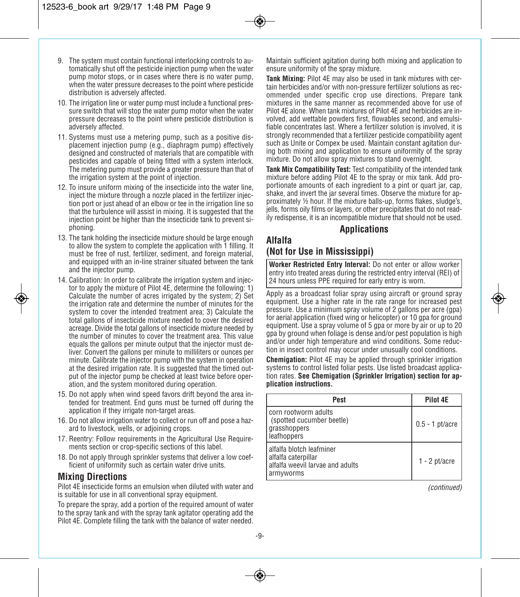- 9. The system must contain functional interlocking controls to automatically shut off the pesticide injection pump when the water pump motor stops, or in cases where there is no water pump, when the water pressure decreases to the point where pesticide distribution is adversely affected.
- 10. The irrigation line or water pump must include a functional pressure switch that will stop the water pump motor when the water pressure decreases to the point where pesticide distribution is adversely affected.
- 11. Systems must use a metering pump, such as a positive displacement injection pump (e.g., diaphragm pump) effectively designed and constructed of materials that are compatible with pesticides and capable of being fitted with a system interlock. The metering pump must provide a greater pressure than that of the irrigation system at the point of injection.
- 12. To insure uniform mixing of the insecticide into the water line, inject the mixture through a nozzle placed in the fertilizer injection port or just ahead of an elbow or tee in the irrigation line so that the turbulence will assist in mixing. It is suggested that the injection point be higher than the insecticide tank to prevent siphoning.
- 13. The tank holding the insecticide mixture should be large enough to allow the system to complete the application with 1 filling. It must be free of rust, fertilizer, sediment, and foreign material, and equipped with an in-line strainer situated between the tank and the injector pump.
- 14. Calibration: In order to calibrate the irrigation system and injector to apply the mixture of Pilot 4E, determine the following: 1) Calculate the number of acres irrigated by the system; 2) Set the irrigation rate and determine the number of minutes for the system to cover the intended treatment area; 3) Calculate the total gallons of insecticide mixture needed to cover the desired acreage. Divide the total gallons of insecticide mixture needed by the number of minutes to cover the treatment area. This value equals the gallons per minute output that the injector must deliver. Convert the gallons per minute to milliliters or ounces per minute. Calibrate the injector pump with the system in operation at the desired irrigation rate. It is suggested that the timed output of the injector pump be checked at least twice before operation, and the system monitored during operation.
- 15. Do not apply when wind speed favors drift beyond the area intended for treatment. End guns must be turned off during the application if they irrigate non-target areas.
- 16. Do not allow irrigation water to collect or run off and pose a hazard to livestock, wells, or adjoining crops.
- 17. Reentry: Follow requirements in the Agricultural Use Requirements section or crop-specific sections of this label.
- 18. Do not apply through sprinkler systems that deliver a low coefficient of uniformity such as certain water drive units.

#### **Mixing Directions**

Pilot 4E insecticide forms an emulsion when diluted with water and is suitable for use in all conventional spray equipment.

To prepare the spray, add a portion of the required amount of water to the spray tank and with the spray tank agitator operating add the Pilot 4E. Complete filling the tank with the balance of water needed.

Maintain sufficient agitation during both mixing and application to ensure uniformity of the spray mixture.

**Tank Mixing:** Pilot 4E may also be used in tank mixtures with certain herbicides and/or with non-pressure fertilizer solutions as recommended under specific crop use directions. Prepare tank mixtures in the same manner as recommended above for use of Pilot 4E alone. When tank mixtures of Pilot 4E and herbicides are involved, add wettable powders first, flowables second, and emulsifiable concentrates last. Where a fertilizer solution is involved, it is strongly recommended that a fertilizer pesticide compatibility agent such as Unite or Compex be used. Maintain constant agitation during both mixing and application to ensure uniformity of the spray mixture. Do not allow spray mixtures to stand overnight.

**Tank Mix Compatibility Test:** Test compatibility of the intended tank mixture before adding Pilot 4E to the spray or mix tank. Add proportionate amounts of each ingredient to a pint or quart jar, cap. shake, and invert the jar several times. Observe the mixture for approximately ½ hour. If the mixture balls-up, forms flakes, sludge's, jells, forms oily films or layers, or other precipitates that do not readily redispense, it is an incompatible mixture that should not be used.

#### **Applications**

## **Alfalfa (Not for Use in Mississippi)**

**Worker Restricted Entry Interval:** Do not enter or allow worker entry into treated areas during the restricted entry interval (REI) of 24 hours unless PPE required for early entry is worn.

Apply as a broadcast foliar spray using aircraft or ground spray equipment. Use a higher rate in the rate range for increased pest pressure. Use a minimum spray volume of 2 gallons per acre (gpa) for aerial application (fixed wing or helicopter) or 10 gpa for ground equipment. Use a spray volume of 5 gpa or more by air or up to 20 gpa by ground when foliage is dense and/or pest population is high and/or under high temperature and wind conditions. Some reduction in insect control may occur under unusually cool conditions.

**Chemigation:** Pilot 4E may be applied through sprinkler irrigation systems to control listed foliar pests. Use listed broadcast application rates. **See Chemigation (Sprinkler Irrigation) section for application instructions.**

| Pest                                                                                             | Pilot 4E          |
|--------------------------------------------------------------------------------------------------|-------------------|
| l corn rootworm adults<br>(spotted cucumber beetle)<br>grasshoppers<br>leafhoppers               | $0.5 - 1$ pt/acre |
| alfalfa blotch leafminer<br>alfalfa caterpillar<br>alfalfa weevil larvae and adults<br>armyworms | $1 - 2$ pt/acre   |

*(continued)*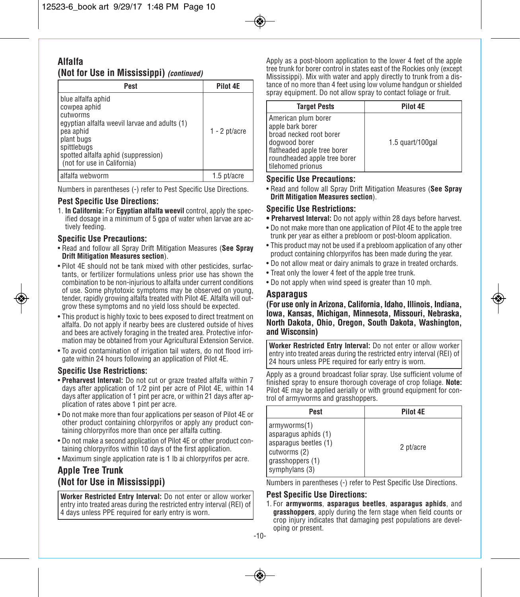## **Alfalfa (Not for Use in Mississippi)** *(continued)*

| Pest                                                                                                                                                                                                            | Pilot 4E        |
|-----------------------------------------------------------------------------------------------------------------------------------------------------------------------------------------------------------------|-----------------|
| blue alfalfa aphid<br>cowpea aphid<br>cutworms<br>eqyptian alfalfa weevil larvae and adults (1)<br>pea aphid<br>plant bugs<br>spittlebugs<br>spotted alfalfa aphid (suppression)<br>(not for use in California) | $1 - 2$ pt/acre |
| alfalfa webworm                                                                                                                                                                                                 | 1.5 pt/acre     |

Numbers in parentheses (-) refer to Pest Specific Use Directions.

#### **Pest Specific Use Directions:**

1. **In California:** For **Egyptian alfalfa weevil** control, apply the specified dosage in a minimum of 5 gpa of water when larvae are actively feeding.

#### **Specific Use Precautions:**

- Read and follow all Spray Drift Mitigation Measures (**See Spray Drift Mitigation Measures section**).
- Pilot 4E should not be tank mixed with other pesticides, surfactants, or fertilizer formulations unless prior use has shown the combination to be non-injurious to alfalfa under current conditions of use. Some phytotoxic symptoms may be observed on young, tender, rapidly growing alfalfa treated with Pilot 4E. Alfalfa will outgrow these symptoms and no yield loss should be expected.
- This product is highly toxic to bees exposed to direct treatment on alfalfa. Do not apply if nearby bees are clustered outside of hives and bees are actively foraging in the treated area. Protective information may be obtained from your Agricultural Extension Service.
- To avoid contamination of irrigation tail waters, do not flood irrigate within 24 hours following an application of Pilot 4E.

#### **Specific Use Restrictions:**

- **Preharvest Interval:** Do not cut or graze treated alfalfa within 7 days after application of 1/2 pint per acre of Pilot 4E, within 14 days after application of 1 pint per acre, or within 21 days after application of rates above 1 pint per acre.
- Do not make more than four applications per season of Pilot 4E or other product containing chlorpyrifos or apply any product containing chlorpyrifos more than once per alfalfa cutting.
- Do not make a second application of Pilot 4E or other product containing chlorpyrifos within 10 days of the first application.
- Maximum single application rate is 1 lb ai chlorpyrifos per acre.

## **Apple Tree Trunk (Not for Use in Mississippi)**

**Worker Restricted Entry Interval:** Do not enter or allow worker entry into treated areas during the restricted entry interval (REI) of 4 days unless PPE required for early entry is worn.

Apply as a post-bloom application to the lower 4 feet of the apple tree trunk for borer control in states east of the Rockies only (except Mississippi). Mix with water and apply directly to trunk from a distance of no more than 4 feet using low volume handgun or shielded spray equipment. Do not allow spray to contact foliage or fruit.

| <b>Target Pests</b>                                                                                                                                                     | Pilot 4E           |
|-------------------------------------------------------------------------------------------------------------------------------------------------------------------------|--------------------|
| American plum borer<br>apple bark borer<br>broad necked root borer<br>dogwood borer<br>flatheaded apple tree borer<br>roundheaded apple tree borer<br>tilehomed prionus | $1.5$ quart/100gal |

#### **Specific Use Precautions:**

• Read and follow all Spray Drift Mitigation Measures (**See Spray Drift Mitigation Measures section**).

#### **Specific Use Restrictions:**

- **• Preharvest Interval:** Do not apply within 28 days before harvest.
- Do not make more than one application of Pilot 4E to the apple tree trunk per year as either a prebloom or post-bloom application.
- This product may not be used if a prebloom application of any other product containing chlorpyrifos has been made during the year.
- Do not allow meat or dairy animals to graze in treated orchards.
- Treat only the lower 4 feet of the apple tree trunk.
- Do not apply when wind speed is greater than 10 mph.

#### **Asparagus**

**(For use only in Arizona, California, Idaho, Illinois, Indiana, Iowa, Kansas, Michigan, Minnesota, Missouri, Nebraska, North Dakota, Ohio, Oregon, South Dakota, Washington, and Wisconsin)**

**Worker Restricted Entry Interval:** Do not enter or allow worker entry into treated areas during the restricted entry interval (REI) of 24 hours unless PPE required for early entry is worn.

Apply as a ground broadcast foliar spray. Use sufficient volume of finished spray to ensure thorough coverage of crop foliage. **Note:** Pilot 4E may be applied aerially or with ground equipment for control of armyworms and grasshoppers.

| Pest                                                                                                                | Pilot 4E  |
|---------------------------------------------------------------------------------------------------------------------|-----------|
| armyworms(1)<br>asparagus aphids (1)<br>asparagus beetles (1)<br>cutworms (2)<br>grasshoppers (1)<br>symphylans (3) | 2 pt/acre |

Numbers in parentheses (-) refer to Pest Specific Use Directions.

#### **Pest Specific Use Directions:**

1. For **armyworms**, **asparagus beetles**, **asparagus aphids**, and **grasshoppers**, apply during the fern stage when field counts or crop injury indicates that damaging pest populations are developing or present.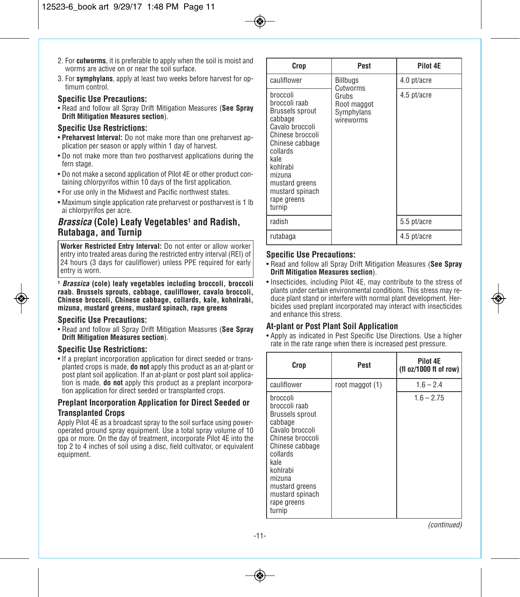- 2. For **cutworms**, it is preferable to apply when the soil is moist and worms are active on or near the soil surface.
- 3. For **symphylans**, apply at least two weeks before harvest for optimum control.

#### **Specific Use Precautions:**

• Read and follow all Spray Drift Mitigation Measures (**See Spray Drift Mitigation Measures section**).

#### **Specific Use Restrictions:**

- **Preharvest Interval:** Do not make more than one preharvest application per season or apply within 1 day of harvest.
- Do not make more than two postharvest applications during the fern stage.
- Do not make a second application of Pilot 4E or other product containing chlorpyrifos within 10 days of the first application.
- For use only in the Midwest and Pacific northwest states.
- Maximum single application rate preharvest or postharvest is 1 lb ai chlorpyrifos per acre.

## *Brassica* **(Cole) Leafy Vegetables1 and Radish, Rutabaga, and Turnip**

**Worker Restricted Entry Interval:** Do not enter or allow worker entry into treated areas during the restricted entry interval (REI) of 24 hours (3 days for cauliflower) unless PPE required for early entry is worn.

**<sup>1</sup>** *Brassica* **(cole) leafy vegetables including broccoli, broccoli raab. Brussels sprouts, cabbage, cauliflower, cavalo broccoli, Chinese broccoli, Chinese cabbage, collards, kale, kohnlrabi, mizuna, mustard greens, mustard spinach, rape greens**

#### **Specific Use Precautions:**

• Read and follow all Spray Drift Mitigation Measures (**See Spray Drift Mitigation Measures section**).

#### **Specific Use Restrictions:**

• If a preplant incorporation application for direct seeded or transplanted crops is made, **do not** apply this product as an at-plant or post plant soil application. If an at-plant or post plant soil application is made, **do not** apply this product as a preplant incorporation application for direct seeded or transplanted crops.

#### **Preplant Incorporation Application for Direct Seeded or Transplanted Crops**

Apply Pilot 4E as a broadcast spray to the soil surface using poweroperated ground spray equipment. Use a total spray volume of 10 gpa or more. On the day of treatment, incorporate Pilot 4E into the top 2 to 4 inches of soil using a disc, field cultivator, or equivalent equipment.

| Crop                                                                                                                                                                                                                      | Pest                                            | Pilot 4E    |
|---------------------------------------------------------------------------------------------------------------------------------------------------------------------------------------------------------------------------|-------------------------------------------------|-------------|
| cauliflower                                                                                                                                                                                                               | <b>Billbugs</b><br>Cutworms                     | 4.0 pt/acre |
| broccoli<br>broccoli raab<br>Brussels sprout<br>cabbage<br>Cavalo broccoli<br>Chinese broccoli<br>Chinese cabbage<br>collards<br>kale<br>kohlrabi<br>mizuna<br>mustard greens<br>mustard spinach<br>rape greens<br>turnip | Grubs<br>Root maggot<br>Symphylans<br>wireworms | 4.5 pt/acre |
| radish                                                                                                                                                                                                                    |                                                 | 5.5 pt/acre |
| rutabaga                                                                                                                                                                                                                  |                                                 | 4.5 pt/acre |

#### **Specific Use Precautions:**

- Read and follow all Spray Drift Mitigation Measures (**See Spray Drift Mitigation Measures section**).
- Insecticides, including Pilot 4E, may contribute to the stress of plants under certain environmental conditions. This stress may reduce plant stand or interfere with normal plant development. Herbicides used preplant incorporated may interact with insecticides and enhance this stress.

#### **At-plant or Post Plant Soil Application**

• Apply as indicated in Pest Specific Use Directions. Use a higher rate in the rate range when there is increased pest pressure.

| Crop                                                                                                                                                                                                                             | Pest            | Pilot 4F<br>(fl oz/1000 ft of row) |
|----------------------------------------------------------------------------------------------------------------------------------------------------------------------------------------------------------------------------------|-----------------|------------------------------------|
| cauliflower                                                                                                                                                                                                                      | root maggot (1) | $1.6 - 2.4$                        |
| broccoli<br>broccoli raab<br><b>Brussels sprout</b><br>cabbage<br>Cavalo broccoli<br>Chinese broccoli<br>Chinese cabbage<br>collards<br>kale<br>kohlrabi<br>mizuna<br>mustard greens<br>mustard spinach<br>rape greens<br>turnip |                 | $1.6 - 2.75$                       |

*(continued)*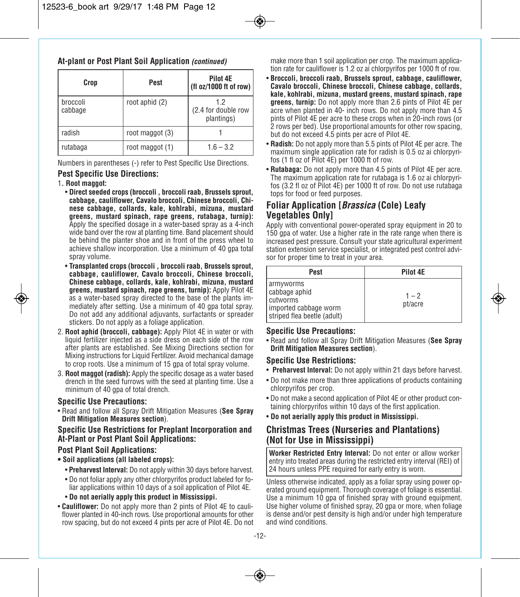| Crop                | Pest            | Pilot 4E<br>(fl oz/1000 ft of row)      |
|---------------------|-----------------|-----------------------------------------|
| broccoli<br>cabbage | root aphid (2)  | 12<br>(2.4 for double row<br>plantings) |
| radish              | root maggot (3) |                                         |
| rutabaga            | root maggot (1) | $1.6 - 3.2$                             |

**At-plant or Post Plant Soil Application** *(continued)*

Numbers in parentheses (-) refer to Pest Specific Use Directions.

#### **Pest Specific Use Directions:**

#### 1**. Root maggot:**

- **Direct seeded crops (broccoli , broccoli raab, Brussels sprout, cabbage, cauliflower, Cavalo broccoli, Chinese broccoli, Chinese cabbage, collards, kale, kohlrabi, mizuna, mustard greens, mustard spinach, rape greens, rutabaga, turnip):** Apply the specified dosage in a water-based spray as a 4-inch wide band over the row at planting time. Band placement should be behind the planter shoe and in front of the press wheel to achieve shallow incorporation. Use a minimum of 40 gpa total spray volume.
- **Transplanted crops (broccoli , broccoli raab, Brussels sprout, cabbage, cauliflower, Cavalo broccoli, Chinese broccoli, Chinese cabbage, collards, kale, kohlrabi, mizuna, mustard greens, mustard spinach, rape greens, turnip):** Apply Pilot 4E as a water-based spray directed to the base of the plants immediately after setting. Use a minimum of 40 gpa total spray. Do not add any additional adjuvants, surfactants or spreader stickers. Do not apply as a foliage application.
- 2. **Root aphid (broccoli, cabbage):** Apply Pilot 4E in water or with liquid fertilizer injected as a side dress on each side of the row after plants are established. See Mixing Directions section for Mixing instructions for Liquid Fertilizer. Avoid mechanical damage to crop roots. Use a minimum of 15 gpa of total spray volume.
- 3. **Root maggot (radish):** Apply the specific dosage as a water based drench in the seed furrows with the seed at planting time. Use a minimum of 40 gpa of total drench.

#### **Specific Use Precautions:**

• Read and follow all Spray Drift Mitigation Measures (**See Spray Drift Mitigation Measures section**).

#### **Specific Use Restrictions for Preplant Incorporation and At-Plant or Post Plant Soil Applications:**

#### **Post Plant Soil Applications:**

#### **• Soil applications (all labeled crops):**

- **Preharvest Interval:** Do not apply within 30 days before harvest.
- Do not foliar apply any other chlorpyrifos product labeled for foliar applications within 10 days of a soil application of Pilot 4E.

#### • **Do not aerially apply this product in Mississippi.**

• **Cauliflower:** Do not apply more than 2 pints of Pilot 4E to cauliflower planted in 40-inch rows. Use proportional amounts for other row spacing, but do not exceed 4 pints per acre of Pilot 4E. Do not make more than 1 soil application per crop. The maximum application rate for cauliflower is 1.2 oz ai chlorpyrifos per 1000 ft of row.

- **Broccoli, broccoli raab, Brussels sprout, cabbage, cauliflower, Cavalo broccoli, Chinese broccoli, Chinese cabbage, collards, kale, kohlrabi, mizuna, mustard greens, mustard spinach, rape greens, turnip:** Do not apply more than 2.6 pints of Pilot 4E per acre when planted in 40- inch rows. Do not apply more than 4.5 pints of Pilot 4E per acre to these crops when in 20-inch rows (or 2 rows per bed). Use proportional amounts for other row spacing, but do not exceed 4.5 pints per acre of Pilot 4E.
- **Radish:** Do not apply more than 5.5 pints of Pilot 4E per acre. The maximum single application rate for radish is 0.5 oz ai chlorpyrifos (1 fl oz of Pilot 4E) per 1000 ft of row.
- **Rutabaga:** Do not apply more than 4.5 pints of Pilot 4E per acre. The maximum application rate for rutabaga is 1.6 oz ai chlorpyrifos (3.2 fl oz of Pilot 4E) per 1000 ft of row. Do not use rutabaga tops for food or feed purposes.

## **Foliar Application [***Brassica* **(Cole) Leafy Vegetables Only]**

Apply with conventional power-operated spray equipment in 20 to 150 gpa of water. Use a higher rate in the rate range when there is increased pest pressure. Consult your state agricultural experiment station extension service specialist, or integrated pest control advisor for proper time to treat in your area.

| Pest                                                                                             | Pilot 4E           |
|--------------------------------------------------------------------------------------------------|--------------------|
| armyworms<br>cabbage aphid<br>l cutworms<br>imported cabbage worm<br>striped flea beetle (adult) | $1 - 2$<br>pt/acre |

#### **Specific Use Precautions:**

• Read and follow all Spray Drift Mitigation Measures (**See Spray Drift Mitigation Measures section**).

#### **Specific Use Restrictions:**

- **Preharvest Interval:** Do not apply within 21 days before harvest.
- Do not make more than three applications of products containing chlorpyrifos per crop.
- Do not make a second application of Pilot 4E or other product containing chlorpyrifos within 10 days of the first application.
- **Do not aerially apply this product in Mississippi.**

## **Christmas Trees (Nurseries and Plantations) (Not for Use in Mississippi)**

**Worker Restricted Entry Interval:** Do not enter or allow worker entry into treated areas during the restricted entry interval (REI) of 24 hours unless PPE required for early entry is worn.

Unless otherwise indicated, apply as a foliar spray using power operated ground equipment. Thorough coverage of foliage is essential. Use a minimum 10 gpa of finished spray with ground equipment. Use higher volume of finished spray, 20 gpa or more, when foliage is dense and/or pest density is high and/or under high temperature and wind conditions.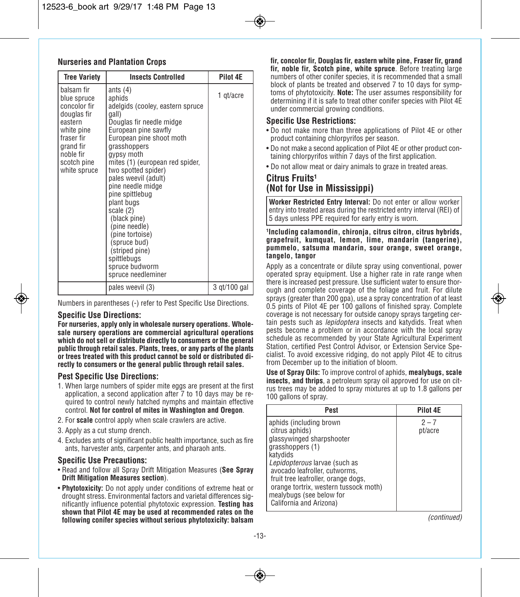| <b>HOD VAIIGLY</b>                                                                                                                                       | moctro vunuvnou                                                                                                                                                                                                                                                                                                                                                                                                                                                                 | . <del>.</del> . |
|----------------------------------------------------------------------------------------------------------------------------------------------------------|---------------------------------------------------------------------------------------------------------------------------------------------------------------------------------------------------------------------------------------------------------------------------------------------------------------------------------------------------------------------------------------------------------------------------------------------------------------------------------|------------------|
| balsam fir<br>blue spruce<br>concolor fir<br>douglas fir<br>eastern<br>white pine<br>fraser fir<br>grand fir<br>noble fir<br>scotch pine<br>white spruce | ants (4)<br>aphids<br>adelgids (cooley, eastern spruce<br>gall)<br>Douglas fir needle midge<br>European pine sawfly<br>European pine shoot moth<br>grasshoppers<br>gypsy moth<br>mites (1) (european red spider,<br>two spotted spider)<br>pales weevil (adult)<br>pine needle midge<br>pine spittlebug<br>plant bugs<br>scale (2)<br>(black pine)<br>(pine needle)<br>(pine tortoise)<br>(spruce bud)<br>(striped pine)<br>spittlebugs<br>spruce budworm<br>spruce needleminer | 1 gt/acre        |
|                                                                                                                                                          | pales weevil (3)                                                                                                                                                                                                                                                                                                                                                                                                                                                                | 3 gt/100 gal     |

**Tree Variety Insects Controlled Pilot 4E**

#### **Nurseries and Plantation Crops**

Numbers in parentheses (-) refer to Pest Specific Use Directions.

#### **Specific Use Directions:**

**For nurseries, apply only in wholesale nursery operations. Wholesale nursery operations are commercial agricultural operations which do not sell or distribute directly to consumers or the general public through retail sales. Plants, trees, or any parts of the plants or trees treated with this product cannot be sold or distributed directly to consumers or the general public through retail sales.**

#### **Pest Specific Use Directions:**

- 1. When large numbers of spider mite eggs are present at the first application, a second application after 7 to 10 days may be required to control newly hatched nymphs and maintain effective control. **Not for control of mites in Washington and Oregon**.
- 2. For **scale** control apply when scale crawlers are active.
- 3. Apply as a cut stump drench.
- 4. Excludes ants of significant public health importance, such as fire ants, harvester ants, carpenter ants, and pharaoh ants.

#### **Specific Use Precautions:**

- Read and follow all Spray Drift Mitigation Measures (**See Spray Drift Mitigation Measures section**).
- **Phytotoxicity:** Do not apply under conditions of extreme heat or drought stress. Environmental factors and varietal differences significantly influence potential phytotoxic expression. **Testing has shown that Pilot 4E may be used at recommended rates on the following conifer species without serious phytotoxicity: balsam**

**fir, concolor fir, Douglas fir, eastern white pine, Fraser fir, grand fir, noble fir, Scotch pine, white spruce**. Before treating large numbers of other conifer species, it is recommended that a small block of plants be treated and observed 7 to 10 days for symptoms of phytotoxicity. **Note:** The user assumes responsibility for determining if it is safe to treat other conifer species with Pilot 4E under commercial growing conditions.

#### **Specific Use Restrictions:**

- Do not make more than three applications of Pilot 4E or other product containing chlorpyrifos per season.
- Do not make a second application of Pilot 4E or other product containing chlorpyrifos within 7 days of the first application.
- Do not allow meat or dairy animals to graze in treated areas.

## **Citrus Fruits1 (Not for Use in Mississippi)**

**Worker Restricted Entry Interval:** Do not enter or allow worker entry into treated areas during the restricted entry interval (REI) of 5 days unless PPE required for early entry is worn.

**1Including calamondin, chironja, citrus citron, citrus hybrids, grapefruit, kumquat, lemon, lime, mandarin (tangerine), pummelo, satsuma mandarin, sour orange, sweet orange, tangelo, tangor**

Apply as a concentrate or dilute spray using conventional, power operated spray equipment. Use a higher rate in rate range when there is increased pest pressure. Use sufficient water to ensure thorough and complete coverage of the foliage and fruit. For dilute sprays (greater than 200 gpa), use a spray concentration of at least 0.5 pints of Pilot 4E per 100 gallons of finished spray. Complete coverage is not necessary for outside canopy sprays targeting certain pests such as *lepidoptera* insects and katydids. Treat when pests become a problem or in accordance with the local spray schedule as recommended by your State Agricultural Experiment Station, certified Pest Control Advisor, or Extension Service Specialist. To avoid excessive ridging, do not apply Pilot 4E to citrus from December up to the initiation of bloom.

**Use of Spray Oils:** To improve control of aphids, **mealybugs, scale insects, and thrips**, a petroleum spray oil approved for use on citrus trees may be added to spray mixtures at up to 1.8 gallons per 100 gallons of spray.

| Pest                                                                                                                                                                                                                                                                                                            | Pilot 4E           |
|-----------------------------------------------------------------------------------------------------------------------------------------------------------------------------------------------------------------------------------------------------------------------------------------------------------------|--------------------|
| aphids (including brown<br>citrus aphids)<br>glassywinged sharpshooter<br>grasshoppers (1)<br>katydids<br>Lepidopterous larvae (such as<br>avocado leafroller, cutworms,<br>fruit tree leafroller, orange dogs,<br>orange tortrix, western tussock moth)<br>mealybugs (see below for<br>California and Arizona) | $2 - 7$<br>pt/acre |

*(continued)*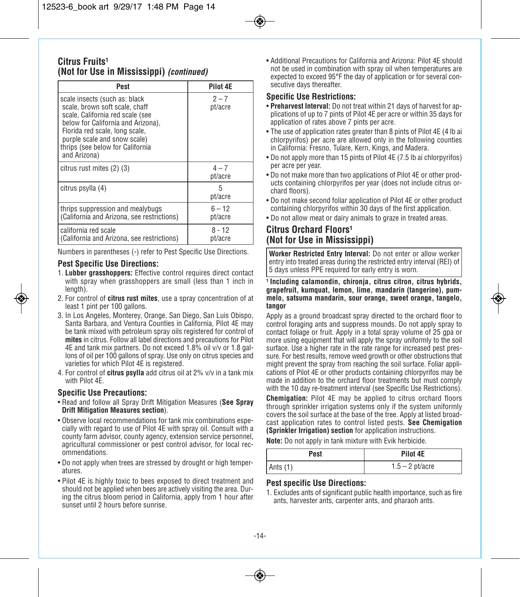## **Citrus Fruits1 (Not for Use in Mississippi)** *(continued)*

| Pest                                                                                                                                                                                                                                                            | Pilot 4E            |
|-----------------------------------------------------------------------------------------------------------------------------------------------------------------------------------------------------------------------------------------------------------------|---------------------|
| scale insects (such as: black<br>scale, brown soft scale, chaff<br>scale, California red scale (see<br>below for California and Arizona),<br>Florida red scale, long scale,<br>purple scale and snow scale)<br>thrips (see below for California<br>and Arizona) | $2 - 7$<br>pt/acre  |
| citrus rust mites (2) (3)                                                                                                                                                                                                                                       | $4 - 7$<br>pt/acre  |
| citrus psylla (4)                                                                                                                                                                                                                                               | 5<br>pt/acre        |
| thrips suppression and mealybugs<br>(California and Arizona, see restrictions)                                                                                                                                                                                  | $6 - 12$<br>pt/acre |
| california red scale<br>(California and Arizona, see restrictions)                                                                                                                                                                                              | $8 - 12$<br>pt/acre |

Numbers in parentheses (-) refer to Pest Specific Use Directions.

#### **Pest Specific Use Directions:**

- 1. **Lubber grasshoppers:** Effective control requires direct contact with spray when grasshoppers are small (less than 1 inch in length).
- 2. For control of **citrus rust mites**, use a spray concentration of at least 1 pint per 100 gallons.
- 3. In Los Angeles, Monterey, Orange, San Diego, San Luis Obispo, Santa Barbara, and Ventura Counties in California, Pilot 4E may be tank mixed with petroleum spray oils registered for control of **mites** in citrus. Follow all label directions and precautions for Pilot 4E and tank mix partners. Do not exceed 1.8% oil v/v or 1.8 gallons of oil per 100 gallons of spray. Use only on citrus species and varieties for which Pilot 4E is registered.
- 4. For control of **citrus psylla** add citrus oil at 2% v/v in a tank mix with Pilot 4E.

#### **Specific Use Precautions:**

- Read and follow all Spray Drift Mitigation Measures (**See Spray Drift Mitigation Measures section**).
- Observe local recommendations for tank mix combinations especially with regard to use of Pilot 4E with spray oil. Consult with a county farm advisor, county agency, extension service personnel, agricultural commissioner or pest control advisor, for local recommendations.
- Do not apply when trees are stressed by drought or high temperatures.
- Pilot 4E is highly toxic to bees exposed to direct treatment and should not be applied when bees are actively visiting the area. During the citrus bloom period in California, apply from 1 hour after sunset until 2 hours before sunrise.

• Additional Precautions for California and Arizona: Pilot 4E should not be used in combination with spray oil when temperatures are expected to exceed 95°F the day of application or for several consecutive days thereafter.

#### **Specific Use Restrictions:**

- **Preharvest Interval:** Do not treat within 21 days of harvest for applications of up to 7 pints of Pilot 4E per acre or within 35 days for application of rates above 7 pints per acre.
- The use of application rates greater than 8 pints of Pilot 4E (4 lb ai chlorpyrifos) per acre are allowed only in the following counties in California: Fresno, Tulare, Kern, Kings, and Madera.
- Do not apply more than 15 pints of Pilot 4E (7.5 lb ai chlorpyrifos) per acre per year.
- Do not make more than two applications of Pilot 4E or other products containing chlorpyrifos per year (does not include citrus orchard floors).
- Do not make second foliar application of Pilot 4E or other product containing chlorpyrifos within 30 days of the first application.
- Do not allow meat or dairy animals to graze in treated areas.

## **Citrus Orchard Floors1 (Not for Use in Mississippi)**

**Worker Restricted Entry Interval:** Do not enter or allow worker entry into treated areas during the restricted entry interval (REI) of 5 days unless PPE required for early entry is worn.

**<sup>1</sup> Including calamondin, chironja, citrus citron, citrus hybrids, grapefruit, kumquat, lemon, lime, mandarin (tangerine), pummelo, satsuma mandarin, sour orange, sweet orange, tangelo, tangor**

Apply as a ground broadcast spray directed to the orchard floor to control foraging ants and suppress mounds. Do not apply spray to contact foliage or fruit. Apply in a total spray volume of 25 gpa or more using equipment that will apply the spray uniformly to the soil surface. Use a higher rate in the rate range for increased pest pressure. For best results, remove weed growth or other obstructions that might prevent the spray from reaching the soil surface. Foliar applications of Pilot 4E or other products containing chlorpyrifos may be made in addition to the orchard floor treatments but must comply with the 10 day re-treatment interval (see Specific Use Restrictions).

**Chemigation:** Pilot 4E may be applied to citrus orchard floors through sprinkler irrigation systems only if the system uniformly covers the soil surface at the base of the tree. Apply at listed broadcast application rates to control listed pests. **See Chemigation (Sprinkler Irrigation) section** for application instructions.

**Note:** Do not apply in tank mixture with Evik herbicide.

| Pest     | Pilot 4E          |
|----------|-------------------|
| Ants (1) | $1.5 - 2$ pt/acre |

#### **Pest specific Use Directions:**

1. Excludes ants of significant public health importance, such as fire ants, harvester ants, carpenter ants, and pharaoh ants.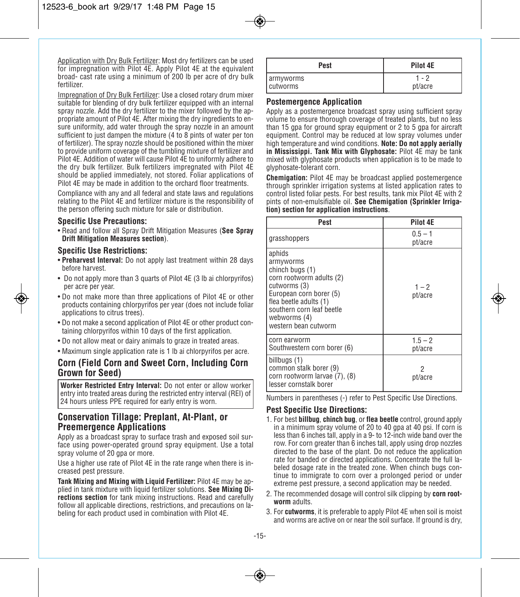

Impregnation of Dry Bulk Fertilizer: Use a closed rotary drum mixer suitable for blending of dry bulk fertilizer equipped with an internal spray nozzle. Add the dry fertilizer to the mixer followed by the appropriate amount of Pilot 4E. After mixing the dry ingredients to ensure uniformity, add water through the spray nozzle in an amount sufficient to just dampen the mixture (4 to 8 pints of water per ton of fertilizer). The spray nozzle should be positioned within the mixer to provide uniform coverage of the tumbling mixture of fertilizer and Pilot 4E. Addition of water will cause Pilot 4E to uniformly adhere to the dry bulk fertilizer. Bulk fertilizers impregnated with Pilot 4E should be applied immediately, not stored. Foliar applications of Pilot 4E may be made in addition to the orchard floor treatments.

Compliance with any and all federal and state laws and regulations relating to the Pilot 4E and fertilizer mixture is the responsibility of the person offering such mixture for sale or distribution.

#### **Specific Use Precautions:**

• Read and follow all Spray Drift Mitigation Measures (**See Spray Drift Mitigation Measures section**).

#### **Specific Use Restrictions:**

- **Preharvest Interval:** Do not apply last treatment within 28 days before harvest.
- Do not apply more than 3 quarts of Pilot 4E (3 lb ai chlorpyrifos) per acre per year.
- Do not make more than three applications of Pilot 4E or other products containing chlorpyrifos per year (does not include foliar applications to citrus trees).
- Do not make a second application of Pilot 4E or other product containing chlorpyrifos within 10 days of the first application.
- Do not allow meat or dairy animals to graze in treated areas.
- Maximum single application rate is 1 lb ai chlorpyrifos per acre.

## **Corn (Field Corn and Sweet Corn, Including Corn Grown for Seed)**

**Worker Restricted Entry Interval:** Do not enter or allow worker entry into treated areas during the restricted entry interval (REI) of 24 hours unless PPE required for early entry is worn.

## **Conservation Tillage: Preplant, At-Plant, or Preemergence Applications**

Apply as a broadcast spray to surface trash and exposed soil surface using power-operated ground spray equipment. Use a total spray volume of 20 gpa or more.

Use a higher use rate of Pilot 4E in the rate range when there is increased pest pressure.

**Tank Mixing and Mixing with Liquid Fertilizer:** Pilot 4E may be applied in tank mixture with liquid fertilizer solutions. **See Mixing Directions section** for tank mixing instructions. Read and carefully follow all applicable directions, restrictions, and precautions on labeling for each product used in combination with Pilot 4E.

| Pest      | Pilot 4E |
|-----------|----------|
| armyworms | 1 - 2    |
| cutworms  | pt/acre  |

#### **Postemergence Application**

Apply as a postemergence broadcast spray using sufficient spray volume to ensure thorough coverage of treated plants, but no less than 15 gpa for ground spray equipment or 2 to 5 gpa for aircraft equipment. Control may be reduced at low spray volumes under high temperature and wind conditions. **Note: Do not apply aerially in Mississippi. Tank Mix with Glyphosate:** Pilot 4E may be tank mixed with glyphosate products when application is to be made to glyphosate-tolerant corn.

**Chemigation:** Pilot 4E may be broadcast applied postemergence through sprinkler irrigation systems at listed application rates to control listed foliar pests. For best results, tank mix Pilot 4E with 2 pints of non-emulsifiable oil. **See Chemigation (Sprinkler Irrigation) section for application instructions**.

| Pest                                                                                                                                                                                                         | Pilot 4E             |
|--------------------------------------------------------------------------------------------------------------------------------------------------------------------------------------------------------------|----------------------|
| grasshoppers                                                                                                                                                                                                 | $0.5 - 1$<br>pt/acre |
| aphids<br>armyworms<br>chinch bugs (1)<br>corn rootworm adults (2)<br>cutworms (3)<br>European corn borer (5)<br>flea beetle adults (1)<br>southern corn leaf beetle<br>webworms (4)<br>western bean cutworm | $1 - 2$<br>pt/acre   |
| corn earworm<br>Southwestern corn borer (6)                                                                                                                                                                  | $1.5 - 2$<br>pt/acre |
| billbugs (1)<br>common stalk borer (9)<br>corn rootworm larvae (7), (8)<br>lesser cornstalk borer                                                                                                            | 2<br>pt/acre         |

Numbers in parentheses (-) refer to Pest Specific Use Directions.

#### **Pest Specific Use Directions:**

- 1. For best **billbug**, **chinch bug**, or **flea beetle** control, ground apply in a minimum spray volume of 20 to 40 gpa at 40 psi. If corn is less than 6 inches tall, apply in a 9- to 12-inch wide band over the row. For corn greater than 6 inches tall, apply using drop nozzles directed to the base of the plant. Do not reduce the application rate for banded or directed applications. Concentrate the full labeled dosage rate in the treated zone. When chinch bugs continue to immigrate to corn over a prolonged period or under extreme pest pressure, a second application may be needed.
- 2. The recommended dosage will control silk clipping by **corn rootworm** adults.
- 3. For **cutworms**, it is preferable to apply Pilot 4E when soil is moist and worms are active on or near the soil surface. If ground is dry,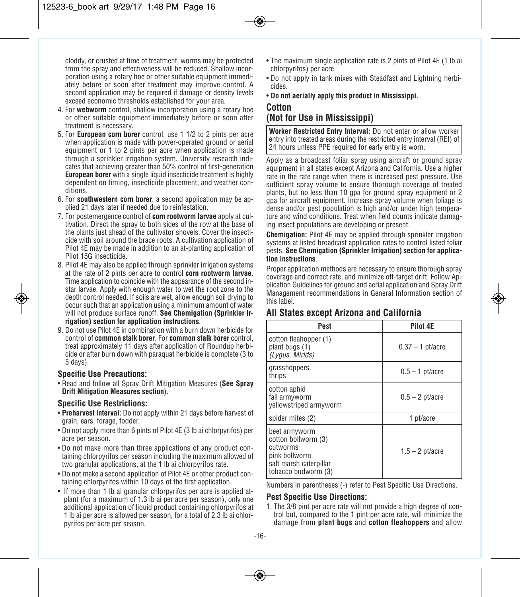cloddy, or crusted at time of treatment, worms may be protected from the spray and effectiveness will be reduced. Shallow incorporation using a rotary hoe or other suitable equipment immediately before or soon after treatment may improve control. A second application may be required if damage or density levels exceed economic thresholds established for your area.

- 4. For **webworm** control, shallow incorporation using a rotary hoe or other suitable equipment immediately before or soon after treatment is necessary.
- 5. For **European corn borer** control, use 1 1/2 to 2 pints per acre when application is made with power-operated ground or aerial equipment or 1 to 2 pints per acre when application is made through a sprinkler irrigation system. University research indicates that achieving greater than 50% control of first-generation **European borer** with a single liquid insecticide treatment is highly dependent on timing, insecticide placement, and weather conditions.
- 6. For **southwestern corn borer**, a second application may be applied 21 days later if needed due to reinfestation.
- 7. For postemergence control of **corn rootworm larvae** apply at cultivation. Direct the spray to both sides of the row at the base of the plants just ahead of the cultivator shovels. Cover the insecticide with soil around the brace roots. A cultivation application of Pilot 4E may be made in addition to an at-planting application of Pilot 15G insecticide.
- 8. Pilot 4E may also be applied through sprinkler irrigation systems at the rate of 2 pints per acre to control **corn rootworm larvae**. Time application to coincide with the appearance of the second instar larvae. Apply with enough water to wet the root zone to the depth control needed. If soils are wet, allow enough soil drying to occur such that an application using a minimum amount of water will not produce surface runoff. **See Chemigation (Sprinkler Irrigation) section for application instructions**.
- 9. Do not use Pilot 4E in combination with a burn down herbicide for control of **common stalk borer**. For **common stalk borer** control, treat approximately 11 days after application of Roundup herbicide or after burn down with paraquat herbicide is complete (3 to 5 days).

#### **Specific Use Precautions:**

• Read and follow all Spray Drift Mitigation Measures (**See Spray Drift Mitigation Measures section**).

#### **Specific Use Restrictions:**

- **Preharvest Interval:** Do not apply within 21 days before harvest of grain, ears, forage, fodder.
- Do not apply more than 6 pints of Pilot 4E (3 lb ai chlorpyrifos) per acre per season.
- Do not make more than three applications of any product containing chlorpyrifos per season including the maximum allowed of two granular applications, at the 1 lb ai chlorpyrifos rate.
- Do not make a second application of Pilot 4E or other product containing chlorpyrifos within 10 days of the first application.
- If more than 1 lb ai granular chlorpyrifos per acre is applied atplant (for a maximum of 1.3 lb ai per acre per season), only one additional application of liquid product containing chlorpyrifos at 1 lb ai per acre is allowed per season, for a total of 2.3 lb ai chlorpyrifos per acre per season.
- The maximum single application rate is 2 pints of Pilot 4E (1 lb ai chlorpyrifos) per acre.
- Do not apply in tank mixes with Steadfast and Lightning herbicides.
- **Do not aerially apply this product in Mississippi.**

## **Cotton (Not for Use in Mississippi)**

**Worker Restricted Entry Interval:** Do not enter or allow worker entry into treated areas during the restricted entry interval (REI) of 24 hours unless PPE required for early entry is worn.

Apply as a broadcast foliar spray using aircraft or ground spray equipment in all states except Arizona and California. Use a higher rate in the rate range when there is increased pest pressure. Use sufficient spray volume to ensure thorough coverage of treated plants, but no less than 10 gpa for ground spray equipment or 2 gpa for aircraft equipment. Increase spray volume when foliage is dense and/or pest population is high and/or under high temperature and wind conditions. Treat when field counts indicate damaging insect populations are developing or present.

**Chemigation:** Pilot 4E may be applied through sprinkler irrigation systems at listed broadcast application rates to control listed foliar pests. **See Chemigation (Sprinkler Irrigation) section for application instructions**.

Proper application methods are necessary to ensure thorough spray coverage and correct rate, and minimize off-target drift. Follow Application Guidelines for ground and aerial application and Spray Drift Management recommendations in General Information section of this label.

## **All States except Arizona and California**

| Pest                                                                                                               | Pilot 4E           |
|--------------------------------------------------------------------------------------------------------------------|--------------------|
| cotton fleahopper (1)<br>plant bugs (1)<br>(Lygus, Mirids)                                                         | $0.37 - 1$ pt/acre |
| grasshoppers<br>thrips                                                                                             | $0.5 - 1$ pt/acre  |
| cotton aphid<br>fall armyworm<br>yellowstriped armyworm                                                            | $0.5 - 2$ pt/acre  |
| spider mites (2)                                                                                                   | 1 pt/acre          |
| beet armyworm<br>cotton bollworm (3)<br>cutworms<br>pink bollworm<br>salt marsh caterpillar<br>tobacco budworm (3) | $1.5 - 2$ pt/acre  |

Numbers in parentheses (-) refer to Pest Specific Use Directions.

#### **Pest Specific Use Directions:**

1. The 3/8 pint per acre rate will not provide a high degree of control but, compared to the 1 pint per acre rate, will minimize the damage from **plant bugs** and **cotton fleahoppers** and allow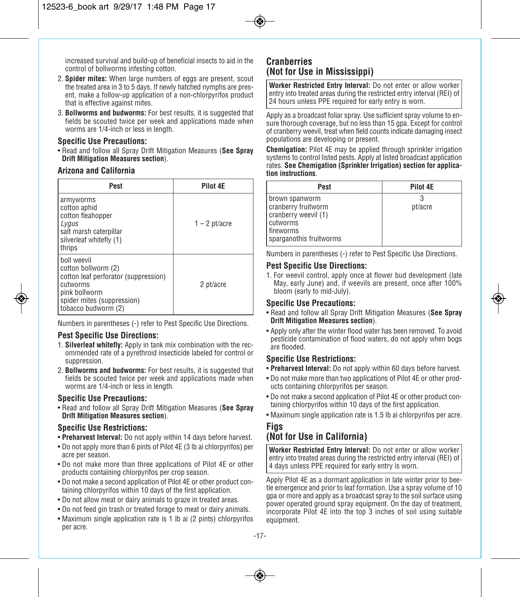increased survival and build-up of beneficial insects to aid in the control of bollworms infesting cotton.

- 2. **Spider mites:** When large numbers of eggs are present, scout the treated area in 3 to 5 days. If newly hatched nymphs are present, make a follow-up application of a non-chlorpyrifos product that is effective against mites.
- 3. **Bollworms and budworms:** For best results, it is suggested that fields be scouted twice per week and applications made when worms are 1/4-inch or less in length.

#### **Specific Use Precautions:**

• Read and follow all Spray Drift Mitigation Measures (**See Spray Drift Mitigation Measures section**).

#### **Arizona and California**

| Pest                                                                                                                                                         | Pilot 4E        |
|--------------------------------------------------------------------------------------------------------------------------------------------------------------|-----------------|
| armyworms<br>cotton aphid<br>cotton fleahopper<br>Lygus<br>salt marsh caterpillar<br>silverleaf whitefly (1)<br>thrips                                       | $1 - 2$ pt/acre |
| boll weevil<br>cotton bollworm (2)<br>cotton leaf perforator (suppression)<br>cutworms<br>pink bollworm<br>spider mites (suppression)<br>tobacco budworm (2) | 2 pt/acre       |

Numbers in parentheses (-) refer to Pest Specific Use Directions.

#### **Pest Specific Use Directions:**

- 1. **Silverleaf whitefly:** Apply in tank mix combination with the recommended rate of a pyrethroid insecticide labeled for control or suppression.
- 2. **Bollworms and budworms:** For best results, it is suggested that fields be scouted twice per week and applications made when worms are 1/4-inch or less in length.

#### **Specific Use Precautions:**

• Read and follow all Spray Drift Mitigation Measures (**See Spray Drift Mitigation Measures section**).

#### **Specific Use Restrictions:**

- **Preharvest Interval:** Do not apply within 14 days before harvest.
- Do not apply more than 6 pints of Pilot 4E (3 lb ai chlorpyrifos) per acre per season.
- Do not make more than three applications of Pilot 4E or other products containing chlorpyrifos per crop season.
- Do not make a second application of Pilot 4E or other product containing chlorpyrifos within 10 days of the first application.
- Do not allow meat or dairy animals to graze in treated areas.
- Do not feed gin trash or treated forage to meat or dairy animals.
- Maximum single application rate is 1 lb ai (2 pints) chlorpyrifos per acre.

## **Cranberries (Not for Use in Mississippi)**

**Worker Restricted Entry Interval:** Do not enter or allow worker entry into treated areas during the restricted entry interval (REI) of 24 hours unless PPE required for early entry is worn.

Apply as a broadcast foliar spray. Use sufficient spray volume to ensure thorough coverage, but no less than 15 gpa. Except for control of cranberry weevil, treat when field counts indicate damaging insect populations are developing or present.

**Chemigation:** Pilot 4E may be applied through sprinkler irrigation systems to control listed pests. Apply at listed broadcast application rates. **See Chemigation (Sprinkler Irrigation) section for application instructions**.

| Pest                                                                                                              | Pilot 4E |
|-------------------------------------------------------------------------------------------------------------------|----------|
| brown spanworm<br>cranberry fruitworm<br>cranberry weevil (1)<br>cutworms<br>fireworms<br>sparganothis fruitworms | pt/acre  |

Numbers in parentheses (-) refer to Pest Specific Use Directions.

#### **Pest Specific Use Directions:**

1. For weevil control, apply once at flower bud development (late May, early June) and, if weevils are present, once after 100% bloom (early to mid-July).

#### **Specific Use Precautions:**

- Read and follow all Spray Drift Mitigation Measures (**See Spray Drift Mitigation Measures section**).
- Apply only after the winter flood water has been removed. To avoid pesticide contamination of flood waters, do not apply when bogs are flooded.

#### **Specific Use Restrictions:**

- **Preharvest Interval:** Do not apply within 60 days before harvest.
- Do not make more than two applications of Pilot 4E or other products containing chlorpyrifos per season.
- Do not make a second application of Pilot 4E or other product containing chlorpyrifos within 10 days of the first application.
- Maximum single application rate is 1.5 lb ai chlorpyrifos per acre.

## **Figs (Not for Use in California)**

**Worker Restricted Entry Interval:** Do not enter or allow worker entry into treated areas during the restricted entry interval (REI) of 4 days unless PPE required for early entry is worn.

Apply Pilot 4E as a dormant application in late winter prior to beetle emergence and prior to leaf formation. Use a spray volume of 10 gpa or more and apply as a broadcast spray to the soil surface using power operated ground spray equipment. On the day of treatment, incorporate Pilot 4E into the top 3 inches of soil using suitable equipment.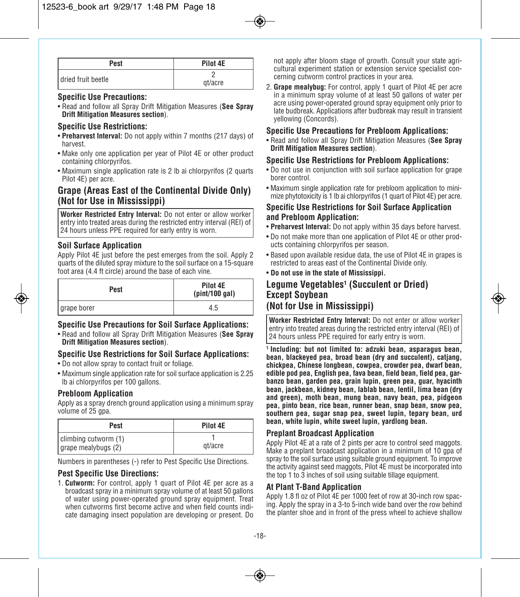| Pest               | Pilot 4E |
|--------------------|----------|
| dried fruit beetle | gt/acre  |

#### **Specific Use Precautions:**

• Read and follow all Spray Drift Mitigation Measures (**See Spray Drift Mitigation Measures section**).

#### **Specific Use Restrictions:**

- **Preharvest Interval:** Do not apply within 7 months (217 days) of harvest.
- Make only one application per year of Pilot 4E or other product containing chlorpyrifos.
- Maximum single application rate is 2 lb ai chlorpyrifos (2 quarts Pilot 4E) per acre.

## **Grape (Areas East of the Continental Divide Only) (Not for Use in Mississippi)**

**Worker Restricted Entry Interval:** Do not enter or allow worker entry into treated areas during the restricted entry interval (REI) of 24 hours unless PPE required for early entry is worn.

#### **Soil Surface Application**

Apply Pilot 4E just before the pest emerges from the soil. Apply 2 quarts of the diluted spray mixture to the soil surface on a 15-square foot area (4.4 ft circle) around the base of each vine.

| Pest          | Pilot 4E<br>(pint/100 gal) |  |  |
|---------------|----------------------------|--|--|
| I grape borer | 4.5                        |  |  |

#### **Specific Use Precautions for Soil Surface Applications:**

• Read and follow all Spray Drift Mitigation Measures (**See Spray Drift Mitigation Measures section**).

#### **Specific Use Restrictions for Soil Surface Applications:**

- Do not allow spray to contact fruit or foliage.
- Maximum single application rate for soil surface application is 2.25 lb ai chlorpyrifos per 100 gallons.

#### **Prebloom Application**

Apply as a spray drench ground application using a minimum spray volume of 25 gpa.

| Pest                                        | Pilot 4E |  |  |
|---------------------------------------------|----------|--|--|
| climbing cutworm (1)<br>grape mealybugs (2) | gt/acre  |  |  |

Numbers in parentheses (-) refer to Pest Specific Use Directions.

#### **Pest Specific Use Directions:**

1. **Cutworm:** For control, apply 1 quart of Pilot 4E per acre as a broadcast spray in a minimum spray volume of at least 50 gallons of water using power-operated ground spray equipment. Treat when cutworms first become active and when field counts indicate damaging insect population are developing or present. Do not apply after bloom stage of growth. Consult your state agricultural experiment station or extension service specialist concerning cutworm control practices in your area.

2. **Grape mealybug:** For control, apply 1 quart of Pilot 4E per acre in a minimum spray volume of at least 50 gallons of water per acre using power-operated ground spray equipment only prior to late budbreak. Applications after budbreak may result in transient yellowing (Concords).

#### **Specific Use Precautions for Prebloom Applications:**

• Read and follow all Spray Drift Mitigation Measures (**See Spray Drift Mitigation Measures section**).

#### **Specific Use Restrictions for Prebloom Applications:**

- Do not use in conjunction with soil surface application for grape borer control.
- Maximum single application rate for prebloom application to minimize phytotoxicity is 1 lb ai chlorpyrifos (1 quart of Pilot 4E) per acre.

#### **Specific Use Restrictions for Soil Surface Application and Prebloom Application:**

- **Preharvest Interval:** Do not apply within 35 days before harvest.
- Do not make more than one application of Pilot 4E or other products containing chlorpyrifos per season.
- Based upon available residue data, the use of Pilot 4E in grapes is restricted to areas east of the Continental Divide only.
- **Do not use in the state of Mississippi.**

## **Legume Vegetables1 (Succulent or Dried) Except Soybean (Not for Use in Mississippi)**

**Worker Restricted Entry Interval:** Do not enter or allow worker entry into treated areas during the restricted entry interval (REI) of 24 hours unless PPE required for early entry is worn.

**<sup>1</sup> Including: but not limited to: adzuki bean, asparagus bean, bean, blackeyed pea, broad bean (dry and succulent), catjang, chickpea, Chinese longbean, cowpea, crowder pea, dwarf bean, edible pod pea, English pea, fava bean, field bean, field pea, garbanzo bean, garden pea, grain lupin, green pea, guar, hyacinth bean, jackbean, kidney bean, lablab bean, lentil, lima bean (dry and green), moth bean, mung bean, navy bean, pea, pidgeon pea, pinto bean, rice bean, runner bean, snap bean, snow pea, southern pea, sugar snap pea, sweet lupin, tepary bean, urd bean, white lupin, white sweet lupin, yardlong bean.**

#### **Preplant Broadcast Application**

Apply Pilot 4E at a rate of 2 pints per acre to control seed maggots. Make a preplant broadcast application in a minimum of 10 gpa of spray to the soil surface using suitable ground equipment. To improve the activity against seed maggots, Pilot 4E must be incorporated into the top 1 to 3 inches of soil using suitable tillage equipment.

#### **At Plant T-Band Application**

Apply 1.8 fl oz of Pilot 4E per 1000 feet of row at 30-inch row spacing. Apply the spray in a 3-to 5-inch wide band over the row behind the planter shoe and in front of the press wheel to achieve shallow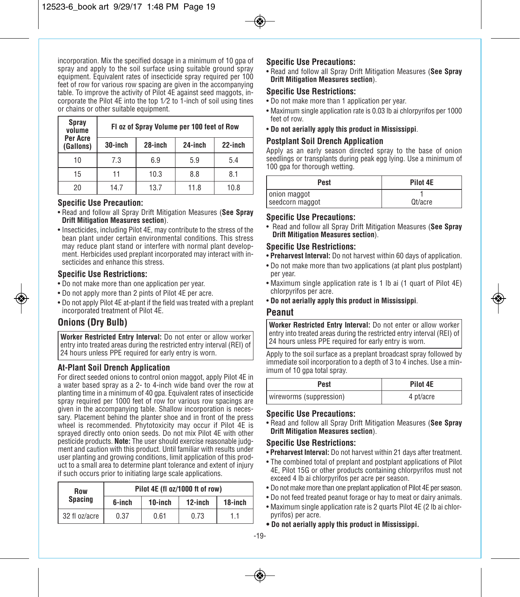incorporation. Mix the specified dosage in a minimum of 10 gpa of spray and apply to the soil surface using suitable ground spray equipment. Equivalent rates of insecticide spray required per 100 feet of row for various row spacing are given in the accompanying table. To improve the activity of Pilot 4E against seed maggots, incorporate the Pilot 4E into the top 1⁄2 to 1-inch of soil using tines or chains or other suitable equipment.

| <b>Spray</b><br>volume | FI oz of Spray Volume per 100 feet of Row |                               |      |      |  |  |
|------------------------|-------------------------------------------|-------------------------------|------|------|--|--|
| Per Acre<br>(Gallons)  | 30-inch                                   | 24-inch<br>22-inch<br>28-inch |      |      |  |  |
| 10                     | 7.3                                       | 6.9                           | 5.9  | 5.4  |  |  |
| 15                     | 11                                        | 10.3                          | 8.8  | 8.1  |  |  |
| 20                     | 14.7                                      | 13.7                          | 11.8 | 10.8 |  |  |

#### **Specific Use Precaution:**

- Read and follow all Spray Drift Mitigation Measures (**See Spray Drift Mitigation Measures section**).
- Insecticides, including Pilot 4E, may contribute to the stress of the bean plant under certain environmental conditions. This stress may reduce plant stand or interfere with normal plant development. Herbicides used preplant incorporated may interact with insecticides and enhance this stress.

#### **Specific Use Restrictions:**

- Do not make more than one application per year.
- Do not apply more than 2 pints of Pilot 4E per acre.
- Do not apply Pilot 4E at-plant if the field was treated with a preplant incorporated treatment of Pilot 4E.

## **Onions (Dry Bulb)**

**Worker Restricted Entry Interval:** Do not enter or allow worker entry into treated areas during the restricted entry interval (REI) of 24 hours unless PPE required for early entry is worn.

#### **At-Plant Soil Drench Application**

For direct seeded onions to control onion maggot, apply Pilot 4E in a water based spray as a 2- to 4-inch wide band over the row at planting time in a minimum of 40 gpa. Equivalent rates of insecticide spray required per 1000 feet of row for various row spacings are given in the accompanying table. Shallow incorporation is necessary. Placement behind the planter shoe and in front of the press wheel is recommended. Phytotoxicity may occur if Pilot 4E is sprayed directly onto onion seeds. Do not mix Pilot 4E with other pesticide products. **Note:** The user should exercise reasonable judgment and caution with this product. Until familiar with results under user planting and growing conditions, limit application of this product to a small area to determine plant tolerance and extent of injury if such occurs prior to initiating large scale applications.

| Row            | Pilot 4E (fl oz/1000 ft of row) |      |         |         |
|----------------|---------------------------------|------|---------|---------|
| <b>Spacing</b> | 10-inch<br>6-inch               |      | 12-inch | 18-inch |
| 32 fl oz/acre  | 0.37                            | 0.61 | 0.73    | 1.1     |

#### **Specific Use Precautions:**

• Read and follow all Spray Drift Mitigation Measures (**See Spray Drift Mitigation Measures section**).

#### **Specific Use Restrictions:**

- Do not make more than 1 application per year.
- Maximum single application rate is 0.03 lb ai chlorpyrifos per 1000 feet of row.
- **Do not aerially apply this product in Mississippi**.

#### **Postplant Soil Drench Application**

Apply as an early season directed spray to the base of onion seedlings or transplants during peak egg lying. Use a minimum of 100 gpa for thorough wetting.

| Pest                            | Pilot 4E |
|---------------------------------|----------|
| onion maggot<br>seedcorn maggot | Qt/acre  |

#### **Specific Use Precautions:**

• Read and follow all Spray Drift Mitigation Measures (**See Spray Drift Mitigation Measures section**).

#### **Specific Use Restrictions:**

- **Preharvest Interval:** Do not harvest within 60 days of application.
- Do not make more than two applications (at plant plus postplant) per year.
- Maximum single application rate is 1 lb ai (1 quart of Pilot 4E) chlorpyrifos per acre.
- **Do not aerially apply this product in Mississippi**.

#### **Peanut**

**Worker Restricted Entry Interval:** Do not enter or allow worker entry into treated areas during the restricted entry interval (REI) of 24 hours unless PPE required for early entry is worn.

Apply to the soil surface as a preplant broadcast spray followed by immediate soil incorporation to a depth of 3 to 4 inches. Use a minimum of 10 gpa total spray.

| Pest                    | Pilot 4E  |  |  |
|-------------------------|-----------|--|--|
| wireworms (suppression) | 4 pt/acre |  |  |

#### **Specific Use Precautions:**

• Read and follow all Spray Drift Mitigation Measures (**See Spray Drift Mitigation Measures section**).

#### **Specific Use Restrictions:**

- **Preharvest Interval:** Do not harvest within 21 days after treatment.
- The combined total of preplant and postplant applications of Pilot 4E, Pilot 15G or other products containing chlorpyrifos must not exceed 4 lb ai chlorpyrifos per acre per season.
- Do not make more than one preplant application of Pilot 4E per season.
- Do not feed treated peanut forage or hay to meat or dairy animals.
- Maximum single application rate is 2 quarts Pilot 4E (2 lb ai chlorpyrifos) per acre.

**• Do not aerially apply this product in Mississippi.**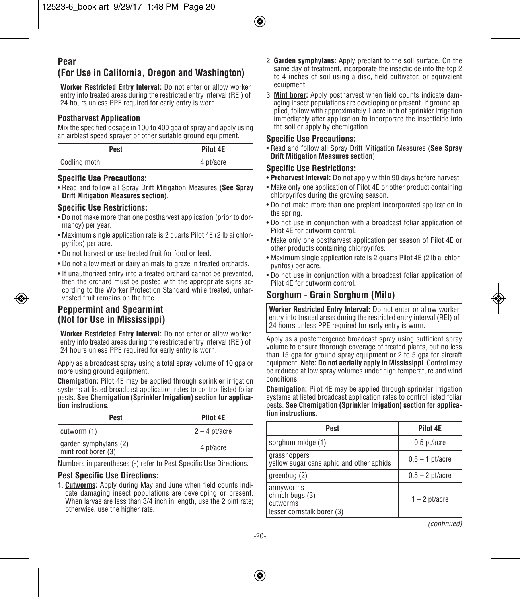## **Pear**

## **(For Use in California, Oregon and Washington)**

**Worker Restricted Entry Interval:** Do not enter or allow worker entry into treated areas during the restricted entry interval (REI) of 24 hours unless PPE required for early entry is worn.

#### **Postharvest Application**

Mix the specified dosage in 100 to 400 gpa of spray and apply using an airblast speed sprayer or other suitable ground equipment.

| Pest         | Pilot 4E  |  |  |
|--------------|-----------|--|--|
| Codling moth | 4 pt/acre |  |  |

#### **Specific Use Precautions:**

• Read and follow all Spray Drift Mitigation Measures (**See Spray Drift Mitigation Measures section**).

#### **Specific Use Restrictions:**

- Do not make more than one postharvest application (prior to dormancy) per year.
- Maximum single application rate is 2 quarts Pilot 4E (2 lb ai chlorpyrifos) per acre.
- Do not harvest or use treated fruit for food or feed.
- Do not allow meat or dairy animals to graze in treated orchards.
- If unauthorized entry into a treated orchard cannot be prevented, then the orchard must be posted with the appropriate signs according to the Worker Protection Standard while treated, unharvested fruit remains on the tree.

## **Peppermint and Spearmint (Not for Use in Mississippi)**

**Worker Restricted Entry Interval:** Do not enter or allow worker entry into treated areas during the restricted entry interval (REI) of 24 hours unless PPE required for early entry is worn.

Apply as a broadcast spray using a total spray volume of 10 gpa or more using ground equipment.

**Chemigation:** Pilot 4E may be applied through sprinkler irrigation systems at listed broadcast application rates to control listed foliar pests. **See Chemigation (Sprinkler Irrigation) section for application instructions**.

| Pest                                         | Pilot 4E        |  |
|----------------------------------------------|-----------------|--|
| cutworm (1)                                  | $2 - 4$ pt/acre |  |
| garden symphylans (2)<br>mint root borer (3) | 4 pt/acre       |  |

Numbers in parentheses (-) refer to Pest Specific Use Directions.

#### **Pest Specific Use Directions:**

1. **Cutworms:** Apply during May and June when field counts indicate damaging insect populations are developing or present. When larvae are less than 3/4 inch in length, use the 2 pint rate; otherwise, use the higher rate.

- 2. **Garden symphylans:** Apply preplant to the soil surface. On the same day of treatment, incorporate the insecticide into the top 2 to 4 inches of soil using a disc, field cultivator, or equivalent equipment.
- 3. **Mint borer:** Apply postharvest when field counts indicate damaging insect populations are developing or present. If ground applied, follow with approximately 1 acre inch of sprinkler irrigation immediately after application to incorporate the insecticide into the soil or apply by chemigation.

#### **Specific Use Precautions:**

• Read and follow all Spray Drift Mitigation Measures (**See Spray Drift Mitigation Measures section**).

#### **Specific Use Restrictions:**

- **Preharvest Interval:** Do not apply within 90 days before harvest.
- Make only one application of Pilot 4E or other product containing chlorpyrifos during the growing season.
- Do not make more than one preplant incorporated application in the spring.
- Do not use in conjunction with a broadcast foliar application of Pilot 4E for cutworm control.
- Make only one postharvest application per season of Pilot 4E or other products containing chlorpyrifos.
- Maximum single application rate is 2 quarts Pilot 4E (2 lb ai chlorpyrifos) per acre.
- Do not use in conjunction with a broadcast foliar application of Pilot 4E for cutworm control.

## **Sorghum - Grain Sorghum (Milo)**

**Worker Restricted Entry Interval:** Do not enter or allow worker entry into treated areas during the restricted entry interval (REI) of 24 hours unless PPE required for early entry is worn.

Apply as a postemergence broadcast spray using sufficient spray volume to ensure thorough coverage of treated plants, but no less than 15 gpa for ground spray equipment or 2 to 5 gpa for aircraft equipment. **Note: Do not aerially apply in Mississippi**. Control may be reduced at low spray volumes under high temperature and wind conditions.

**Chemigation:** Pilot 4E may be applied through sprinkler irrigation systems at listed broadcast application rates to control listed foliar pests. **See Chemigation (Sprinkler Irrigation) section for application instructions**.

| Pest                                                                   | Pilot 4E          |
|------------------------------------------------------------------------|-------------------|
| sorghum midge (1)                                                      | $0.5$ pt/acre     |
| grasshoppers<br>vellow sugar cane aphid and other aphids               | $0.5 - 1$ pt/acre |
| greenbug (2)                                                           | $0.5 - 2$ pt/acre |
| armyworms<br>chinch bugs (3)<br>cutworms<br>lesser cornstalk borer (3) | $1 - 2$ pt/acre   |

*(continued)*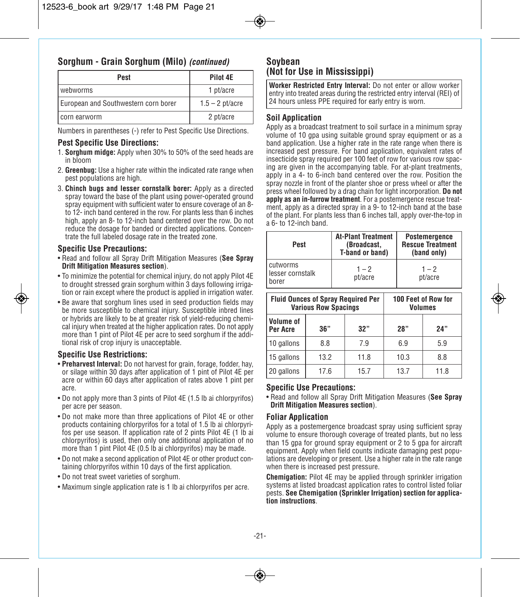## **Sorghum - Grain Sorghum (Milo)** *(continued)*

| Pest                                 | Pilot 4E          |
|--------------------------------------|-------------------|
| webworms                             | 1 pt/acre         |
| European and Southwestern corn borer | $1.5 - 2$ pt/acre |
| I corn earworm                       | 2 pt/acre         |

Numbers in parentheses (-) refer to Pest Specific Use Directions.

#### **Pest Specific Use Directions:**

- 1. **Sorghum midge:** Apply when 30% to 50% of the seed heads are in bloom
- 2. **Greenbug:** Use a higher rate within the indicated rate range when pest populations are high.
- 3. **Chinch bugs and lesser cornstalk borer:** Apply as a directed spray toward the base of the plant using power-operated ground spray equipment with sufficient water to ensure coverage of an 8 to 12- inch band centered in the row. For plants less than 6 inches high, apply an 8- to 12-inch band centered over the row. Do not reduce the dosage for banded or directed applications. Concentrate the full labeled dosage rate in the treated zone.

#### **Specific Use Precautions:**

- Read and follow all Spray Drift Mitigation Measures (**See Spray Drift Mitigation Measures section**).
- To minimize the potential for chemical injury, do not apply Pilot 4E to drought stressed grain sorghum within 3 days following irrigation or rain except where the product is applied in irrigation water.
- Be aware that sorghum lines used in seed production fields may be more susceptible to chemical injury. Susceptible inbred lines or hybrids are likely to be at greater risk of yield-reducing chemical injury when treated at the higher application rates. Do not apply more than 1 pint of Pilot 4E per acre to seed sorghum if the additional risk of crop injury is unacceptable.

#### **Specific Use Restrictions:**

- **Preharvest Interval:** Do not harvest for grain, forage, fodder, hay, or silage within 30 days after application of 1 pint of Pilot 4E per acre or within 60 days after application of rates above 1 pint per acre.
- Do not apply more than 3 pints of Pilot 4E (1.5 lb ai chlorpyrifos) per acre per season.
- Do not make more than three applications of Pilot 4E or other products containing chlorpyrifos for a total of 1.5 lb ai chlorpyrifos per use season. If application rate of 2 pints Pilot 4E (1 lb ai chlorpyrifos) is used, then only one additional application of no more than 1 pint Pilot 4E (0.5 lb ai chlorpyrifos) may be made.
- Do not make a second application of Pilot 4E or other product containing chlorpyrifos within 10 days of the first application.
- Do not treat sweet varieties of sorghum.
- Maximum single application rate is 1 lb ai chlorpyrifos per acre.

## **Soybean (Not for Use in Mississippi)**

**Worker Restricted Entry Interval:** Do not enter or allow worker entry into treated areas during the restricted entry interval (REI) of 24 hours unless PPE required for early entry is worn.

#### **Soil Application**

Apply as a broadcast treatment to soil surface in a minimum spray volume of 10 gpa using suitable ground spray equipment or as a band application. Use a higher rate in the rate range when there is increased pest pressure. For band application, equivalent rates of insecticide spray required per 100 feet of row for various row spacing are given in the accompanying table. For at-plant treatments, apply in a 4- to 6-inch band centered over the row. Position the spray nozzle in front of the planter shoe or press wheel or after the press wheel followed by a drag chain for light incorporation. **Do not apply as an in-furrow treatment**. For a postemergence rescue treatment, apply as a directed spray in a 9- to 12-inch band at the base of the plant. For plants less than 6 inches tall, apply over-the-top in a 6- to 12-inch band.

| Pest                                                                     |                    | <b>At-Plant Treatment</b><br>(Broadcast,<br>T-band or band) |                    | Postemergence<br><b>Rescue Treatment</b><br>(band only) |                                |     |
|--------------------------------------------------------------------------|--------------------|-------------------------------------------------------------|--------------------|---------------------------------------------------------|--------------------------------|-----|
| cutworms<br>lesser cornstalk<br>borer                                    | $1 - 2$<br>pt/acre |                                                             | $1 - 2$<br>pt/acre |                                                         |                                |     |
| <b>Fluid Ounces of Spray Required Per</b><br><b>Various Row Spacings</b> |                    |                                                             |                    |                                                         | 100 Feet of Row for<br>Volumes |     |
| <b>Volume of</b><br>Per Acre                                             | 36"                |                                                             | 32"                |                                                         | 28'                            | 24" |

| IF GIA UIG | υu   | u    | εu   | --   |
|------------|------|------|------|------|
| 10 gallons | 8.8  | 7.9  | 6.9  | 5.9  |
| 15 gallons | 13.2 | 11.8 | 10.3 | 8.8  |
| 20 gallons | 17.6 | 15.7 | 13.7 | 11.8 |

#### **Specific Use Precautions:**

• Read and follow all Spray Drift Mitigation Measures (**See Spray Drift Mitigation Measures section**).

#### **Foliar Application**

Apply as a postemergence broadcast spray using sufficient spray volume to ensure thorough coverage of treated plants, but no less than 15 gpa for ground spray equipment or 2 to 5 gpa for aircraft equipment. Apply when field counts indicate damaging pest populations are developing or present. Use a higher rate in the rate range when there is increased pest pressure.

**Chemigation:** Pilot 4E may be applied through sprinkler irrigation systems at listed broadcast application rates to control listed foliar pests. **See Chemigation (Sprinkler Irrigation) section for application instructions**.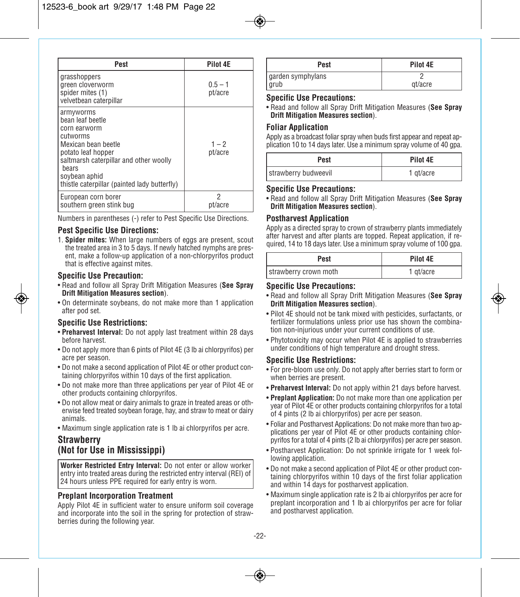| Pest                                                                                                                                                                                                                       | Pilot 4E             |
|----------------------------------------------------------------------------------------------------------------------------------------------------------------------------------------------------------------------------|----------------------|
| grasshoppers<br>green cloverworm<br>spider mites (1)<br>velvetbean caterpillar                                                                                                                                             | $0.5 - 1$<br>pt/acre |
| armyworms<br>bean leaf beetle<br>corn earworm<br>cutworms<br>Mexican bean beetle<br>potato leaf hopper<br>saltmarsh caterpillar and other woolly<br>bears<br>soybean aphid<br>thistle caterpillar (painted lady butterfly) | $1 - 2$<br>pt/acre   |
| European corn borer<br>southern green stink bug                                                                                                                                                                            | 2<br>pt/acre         |

Numbers in parentheses (-) refer to Pest Specific Use Directions.

#### **Pest Specific Use Directions:**

1. **Spider mites:** When large numbers of eggs are present, scout the treated area in 3 to 5 days. If newly hatched nymphs are present, make a follow-up application of a non-chlorpyrifos product that is effective against mites.

#### **Specific Use Precaution:**

- Read and follow all Spray Drift Mitigation Measures (**See Spray Drift Mitigation Measures section**).
- On determinate soybeans, do not make more than 1 application after pod set.

#### **Specific Use Restrictions:**

- **Preharvest Interval:** Do not apply last treatment within 28 days before harvest.
- Do not apply more than 6 pints of Pilot 4E (3 lb ai chlorpyrifos) per acre per season.
- Do not make a second application of Pilot 4E or other product containing chlorpyrifos within 10 days of the first application.
- Do not make more than three applications per year of Pilot 4E or other products containing chlorpyrifos.
- Do not allow meat or dairy animals to graze in treated areas or otherwise feed treated soybean forage, hay, and straw to meat or dairy animals.
- Maximum single application rate is 1 lb ai chlorpyrifos per acre.

## **Strawberry (Not for Use in Mississippi)**

**Worker Restricted Entry Interval:** Do not enter or allow worker entry into treated areas during the restricted entry interval (REI) of 24 hours unless PPE required for early entry is worn.

#### **Preplant Incorporation Treatment**

Apply Pilot 4E in sufficient water to ensure uniform soil coverage and incorporate into the soil in the spring for protection of strawberries during the following year.

| Pest                      | Pilot 4E |
|---------------------------|----------|
| garden symphylans<br>grub | gt/acre  |

#### **Specific Use Precautions:**

• Read and follow all Spray Drift Mitigation Measures (**See Spray Drift Mitigation Measures section**).

#### **Foliar Application**

Apply as a broadcast foliar spray when buds first appear and repeat application 10 to 14 days later. Use a minimum spray volume of 40 gpa.

| Pest                 | Pilot 4E  |
|----------------------|-----------|
| strawberry budweevil | 1 gt/acre |

#### **Specific Use Precautions:**

• Read and follow all Spray Drift Mitigation Measures (**See Spray Drift Mitigation Measures section**).

#### **Postharvest Application**

Apply as a directed spray to crown of strawberry plants immediately after harvest and after plants are topped. Repeat application, if required, 14 to 18 days later. Use a minimum spray volume of 100 gpa.

| Pest                  | Pilot 4E  |
|-----------------------|-----------|
| strawberry crown moth | 1 gt/acre |

#### **Specific Use Precautions:**

- Read and follow all Spray Drift Mitigation Measures (**See Spray Drift Mitigation Measures section**).
- Pilot 4E should not be tank mixed with pesticides, surfactants, or fertilizer formulations unless prior use has shown the combination non-injurious under your current conditions of use.
- Phytotoxicity may occur when Pilot 4E is applied to strawberries under conditions of high temperature and drought stress.

#### **Specific Use Restrictions:**

- For pre-bloom use only. Do not apply after berries start to form or when berries are present.
- **Preharvest Interval:** Do not apply within 21 days before harvest.
- **Preplant Application:** Do not make more than one application per year of Pilot 4E or other products containing chlorpyrifos for a total of 4 pints (2 lb ai chlorpyrifos) per acre per season.
- Foliar and Postharvest Applications: Do not make more than two applications per year of Pilot 4E or other products containing chlorpyrifos for a total of 4 pints (2 lb ai chlorpyrifos) per acre per season.
- Postharvest Application: Do not sprinkle irrigate for 1 week following application.
- Do not make a second application of Pilot 4E or other product containing chlorpyrifos within 10 days of the first foliar application and within 14 days for postharvest application.
- Maximum single application rate is 2 lb ai chlorpyrifos per acre for preplant incorporation and 1 lb ai chlorpyrifos per acre for foliar and postharvest application.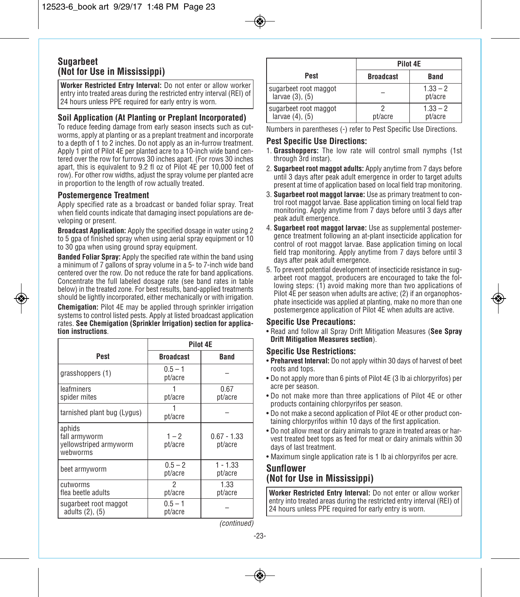## **Sugarbeet (Not for Use in Mississippi)**

**Worker Restricted Entry Interval:** Do not enter or allow worker entry into treated areas during the restricted entry interval (REI) of 24 hours unless PPE required for early entry is worn.

#### **Soil Application (At Planting or Preplant Incorporated)**

To reduce feeding damage from early season insects such as cutworms, apply at planting or as a preplant treatment and incorporate to a depth of 1 to 2 inches. Do not apply as an in-furrow treatment. Apply 1 pint of Pilot 4E per planted acre to a 10-inch wide band centered over the row for furrows 30 inches apart. (For rows 30 inches apart, this is equivalent to 9.2 fl oz of Pilot 4E per 10,000 feet of row). For other row widths, adjust the spray volume per planted acre in proportion to the length of row actually treated.

#### **Postemergence Treatment**

Apply specified rate as a broadcast or banded foliar spray. Treat when field counts indicate that damaging insect populations are developing or present.

**Broadcast Application:** Apply the specified dosage in water using 2 to 5 gpa of finished spray when using aerial spray equipment or 10 to 30 gpa when using ground spray equipment.

**Banded Foliar Spray:** Apply the specified rate within the band using a minimum of 7 gallons of spray volume in a 5- to 7-inch wide band centered over the row. Do not reduce the rate for band applications. Concentrate the full labeled dosage rate (see band rates in table below) in the treated zone. For best results, band-applied treatments should be lightly incorporated, either mechanically or with irrigation.

**Chemigation:** Pilot 4E may be applied through sprinkler irrigation systems to control listed pests. Apply at listed broadcast application rates. **See Chemigation (Sprinkler Irrigation) section for application instructions**.

|                                                               | Pilot 4E             |                          |
|---------------------------------------------------------------|----------------------|--------------------------|
| Pest                                                          | <b>Broadcast</b>     | Band                     |
| grasshoppers (1)                                              | $0.5 - 1$<br>pt/acre |                          |
| leafminers<br>spider mites                                    | pt/acre              | 0.67<br>pt/acre          |
| tarnished plant bug (Lygus)                                   | pt/acre              |                          |
| aphids<br>fall armyworm<br>vellowstriped armyworm<br>webworms | $1 - 2$<br>pt/acre   | $0.67 - 1.33$<br>pt/acre |
| beet armyworm                                                 | $0.5 - 2$<br>pt/acre | $1 - 1.33$<br>pt/acre    |
| cutworms<br>flea beetle adults                                | 2<br>pt/acre         | 1.33<br>pt/acre          |
| sugarbeet root maggot<br>adults (2), (5)                      | $0.5 - 1$<br>pt/acre |                          |

|                                               | Pilot 4E         |                       |
|-----------------------------------------------|------------------|-----------------------|
| Pest                                          | <b>Broadcast</b> | Band                  |
| sugarbeet root maggot<br>larvae $(3)$ , $(5)$ |                  | $1.33 - 2$<br>pt/acre |
| sugarbeet root maggot<br>larvae (4), (5)      | pt/acre          | $1.33 - 2$<br>pt/acre |

Numbers in parentheses (-) refer to Pest Specific Use Directions.

#### **Pest Specific Use Directions:**

- 1. **Grasshoppers:** The low rate will control small nymphs (1st through 3rd instar).
- 2. **Sugarbeet root maggot adults:** Apply anytime from 7 days before until 3 days after peak adult emergence in order to target adults present at time of application based on local field trap monitoring.
- 3. **Sugarbeet root maggot larvae:** Use as primary treatment to control root maggot larvae. Base application timing on local field trap monitoring. Apply anytime from 7 days before until 3 days after peak adult emergence.
- 4. **Sugarbeet root maggot larvae:** Use as supplemental postemergence treatment following an at-plant insecticide application for control of root maggot larvae. Base application timing on local field trap monitoring. Apply anytime from 7 days before until 3 days after peak adult emergence.
- 5. To prevent potential development of insecticide resistance in sugarbeet root maggot, producers are encouraged to take the following steps: (1) avoid making more than two applications of Pilot 4E per season when adults are active; (2) if an organophosphate insecticide was applied at planting, make no more than one postemergence application of Pilot 4E when adults are active.

#### **Specific Use Precautions:**

• Read and follow all Spray Drift Mitigation Measures (**See Spray Drift Mitigation Measures section**).

#### **Specific Use Restrictions:**

- **Preharvest Interval:** Do not apply within 30 days of harvest of beet roots and tops.
- Do not apply more than 6 pints of Pilot 4E (3 lb ai chlorpyrifos) per acre per season.
- Do not make more than three applications of Pilot 4E or other products containing chlorpyrifos per season.
- Do not make a second application of Pilot 4E or other product containing chlorpyrifos within 10 days of the first application.
- Do not allow meat or dairy animals to graze in treated areas or harvest treated beet tops as feed for meat or dairy animals within 30 days of last treatment.
- Maximum single application rate is 1 lb ai chlorpyrifos per acre.

## **Sunflower (Not for Use in Mississippi)**

**Worker Restricted Entry Interval:** Do not enter or allow worker entry into treated areas during the restricted entry interval (REI) of 24 hours unless PPE required for early entry is worn.

-23-

*(continued)*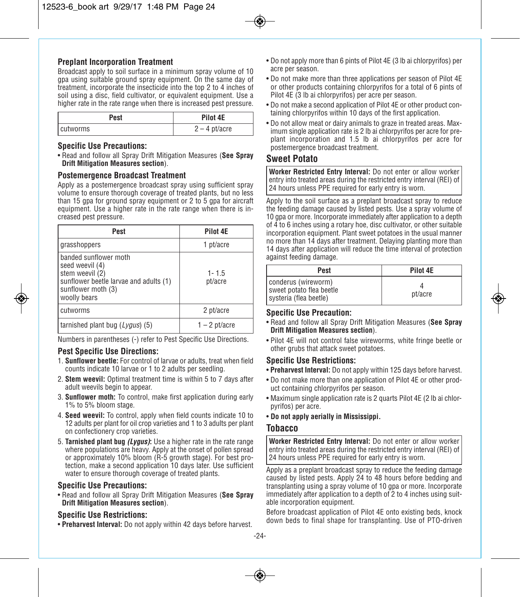#### **Preplant Incorporation Treatment**

Broadcast apply to soil surface in a minimum spray volume of 10 gpa using suitable ground spray equipment. On the same day of treatment, incorporate the insecticide into the top 2 to 4 inches of soil using a disc, field cultivator, or equivalent equipment. Use a higher rate in the rate range when there is increased pest pressure.

| Pest       | Pilot 4E        |
|------------|-----------------|
| I cutworms | $2 - 4$ pt/acre |

#### **Specific Use Precautions:**

• Read and follow all Spray Drift Mitigation Measures (**See Spray Drift Mitigation Measures section**).

#### **Postemergence Broadcast Treatment**

Apply as a postemergence broadcast spray using sufficient spray volume to ensure thorough coverage of treated plants, but no less than 15 gpa for ground spray equipment or 2 to 5 gpa for aircraft equipment. Use a higher rate in the rate range when there is increased pest pressure.

| Pest                                                                                                                                        | Pilot 4E             |
|---------------------------------------------------------------------------------------------------------------------------------------------|----------------------|
| grasshoppers                                                                                                                                | 1 pt/acre            |
| banded sunflower moth<br>seed weevil (4)<br>stem weevil (2)<br>sunflower beetle larvae and adults (1)<br>sunflower moth (3)<br>woolly bears | $1 - 1.5$<br>pt/acre |
| cutworms                                                                                                                                    | 2 pt/acre            |
| tarnished plant bug $(Lygus)$ (5)                                                                                                           | $1 - 2$ pt/acre      |

Numbers in parentheses (-) refer to Pest Specific Use Directions.

#### **Pest Specific Use Directions:**

- 1. **Sunflower beetle:** For control of larvae or adults, treat when field counts indicate 10 larvae or 1 to 2 adults per seedling.
- 2. **Stem weevil:** Optimal treatment time is within 5 to 7 days after adult weevils begin to appear.
- 3. **Sunflower moth:** To control, make first application during early 1% to 5% bloom stage.
- 4. **Seed weevil:** To control, apply when field counts indicate 10 to 12 adults per plant for oil crop varieties and 1 to 3 adults per plant on confectionery crop varieties.
- 5. **Tarnished plant bug** *(Lygus)***:** Use a higher rate in the rate range where populations are heavy. Apply at the onset of pollen spread or approximately 10% bloom (R-5 growth stage). For best protection, make a second application 10 days later. Use sufficient water to ensure thorough coverage of treated plants.

#### **Specific Use Precautions:**

• Read and follow all Spray Drift Mitigation Measures (**See Spray Drift Mitigation Measures section**).

#### **Specific Use Restrictions:**

• **Preharvest Interval:** Do not apply within 42 days before harvest.

- Do not apply more than 6 pints of Pilot 4E (3 lb ai chlorpyrifos) per acre per season.
- Do not make more than three applications per season of Pilot 4E or other products containing chlorpyrifos for a total of 6 pints of Pilot 4E (3 lb ai chlorpyrifos) per acre per season.
- Do not make a second application of Pilot 4E or other product containing chlorpyrifos within 10 days of the first application.
- Do not allow meat or dairy animals to graze in treated areas. Maximum single application rate is 2 lb ai chlorpyrifos per acre for preplant incorporation and 1.5 lb ai chlorpyrifos per acre for postemergence broadcast treatment.

#### **Sweet Potato**

**Worker Restricted Entry Interval:** Do not enter or allow worker entry into treated areas during the restricted entry interval (REI) of 24 hours unless PPE required for early entry is worn.

Apply to the soil surface as a preplant broadcast spray to reduce the feeding damage caused by listed pests. Use a spray volume of 10 gpa or more. Incorporate immediately after application to a depth of 4 to 6 inches using a rotary hoe, disc cultivator, or other suitable incorporation equipment. Plant sweet potatoes in the usual manner no more than 14 days after treatment. Delaying planting more than 14 days after application will reduce the time interval of protection against feeding damage.

| Pest                                                                      | Pilot 4E |
|---------------------------------------------------------------------------|----------|
| conderus (wireworm)<br>sweet potato flea beetle<br>systeria (flea beetle) | pt/acre  |

#### **Specific Use Precaution:**

- Read and follow all Spray Drift Mitigation Measures (**See Spray Drift Mitigation Measures section**).
- Pilot 4E will not control false wireworms, white fringe beetle or other grubs that attack sweet potatoes.

#### **Specific Use Restrictions:**

- **Preharvest Interval:** Do not apply within 125 days before harvest.
- Do not make more than one application of Pilot 4E or other product containing chlorpyrifos per season.
- Maximum single application rate is 2 quarts Pilot 4E (2 lb ai chlorpyrifos) per acre.
- **Do not apply aerially in Mississippi.**

#### **Tobacco**

**Worker Restricted Entry Interval:** Do not enter or allow worker entry into treated areas during the restricted entry interval (REI) of 24 hours unless PPE required for early entry is worn.

Apply as a preplant broadcast spray to reduce the feeding damage caused by listed pests. Apply 24 to 48 hours before bedding and transplanting using a spray volume of 10 gpa or more. Incorporate immediately after application to a depth of 2 to 4 inches using suitable incorporation equipment.

Before broadcast application of Pilot 4E onto existing beds, knock down beds to final shape for transplanting. Use of PTO-driven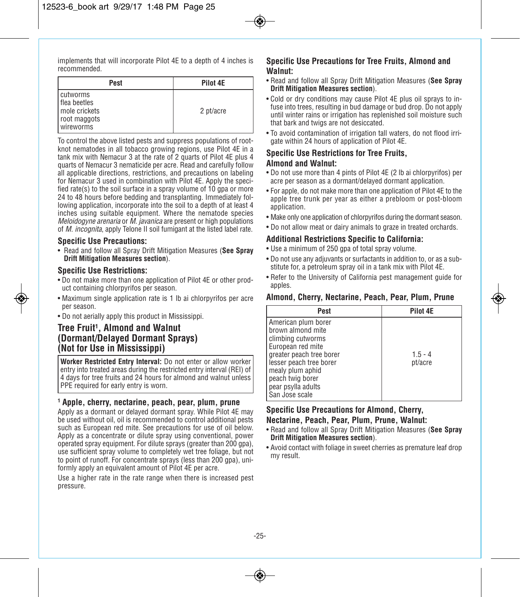implements that will incorporate Pilot 4E to a depth of 4 inches is recommended.

| Pest                                                                       | Pilot 4E  |
|----------------------------------------------------------------------------|-----------|
| l cutworms<br>I flea beetles<br>mole crickets<br>root maggots<br>wireworms | 2 pt/acre |

To control the above listed pests and suppress populations of rootknot nematodes in all tobacco growing regions, use Pilot 4E in a tank mix with Nemacur 3 at the rate of 2 quarts of Pilot 4E plus 4 quarts of Nemacur 3 nematicide per acre. Read and carefully follow all applicable directions, restrictions, and precautions on labeling for Nemacur 3 used in combination with Pilot 4E. Apply the specified rate(s) to the soil surface in a spray volume of  $10$  gpa or more 24 to 48 hours before bedding and transplanting. Immediately following application, incorporate into the soil to a depth of at least 4 inches using suitable equipment. Where the nematode species *Meloidogyne arenaria* or *M. javanica* are present or high populations of *M. incognita*, apply Telone II soil fumigant at the listed label rate.

#### **Specific Use Precautions:**

• Read and follow all Spray Drift Mitigation Measures (**See Spray Drift Mitigation Measures section**).

#### **Specific Use Restrictions:**

- Do not make more than one application of Pilot 4E or other product containing chlorpyrifos per season.
- Maximum single application rate is 1 lb ai chlorpyrifos per acre per season.
- Do not aerially apply this product in Mississippi.

## **Tree Fruit 1, Almond and Walnut (Dormant/Delayed Dormant Sprays) (Not for Use in Mississippi)**

**Worker Restricted Entry Interval:** Do not enter or allow worker entry into treated areas during the restricted entry interval (REI) of 4 days for tree fruits and 24 hours for almond and walnut unless PPE required for early entry is worn.

#### **<sup>1</sup> Apple, cherry, nectarine, peach, pear, plum, prune**

Apply as a dormant or delayed dormant spray. While Pilot 4E may be used without oil, oil is recommended to control additional pests such as European red mite. See precautions for use of oil below. Apply as a concentrate or dilute spray using conventional, power operated spray equipment. For dilute sprays (greater than 200 gpa), use sufficient spray volume to completely wet tree foliage, but not to point of runoff. For concentrate sprays (less than 200 gpa), uniformly apply an equivalent amount of Pilot 4E per acre.

Use a higher rate in the rate range when there is increased pest pressure.

#### **Specific Use Precautions for Tree Fruits, Almond and Walnut:**

- Read and follow all Spray Drift Mitigation Measures (**See Spray Drift Mitigation Measures section**).
- Cold or dry conditions may cause Pilot 4E plus oil sprays to infuse into trees, resulting in bud damage or bud drop. Do not apply until winter rains or irrigation has replenished soil moisture such that bark and twigs are not desiccated.
- To avoid contamination of irrigation tall waters, do not flood irrigate within 24 hours of application of Pilot 4E.

#### **Specific Use Restrictions for Tree Fruits, Almond and Walnut:**

- Do not use more than 4 pints of Pilot 4E (2 lb ai chlorpyrifos) per acre per season as a dormant/delayed dormant application.
- For apple, do not make more than one application of Pilot 4E to the apple tree trunk per year as either a prebloom or post-bloom application.
- Make only one application of chlorpyrifos during the dormant season.
- Do not allow meat or dairy animals to graze in treated orchards.

#### **Additional Restrictions Specific to California:**

- Use a minimum of 250 gpa of total spray volume.
- Do not use any adjuvants or surfactants in addition to, or as a substitute for, a petroleum spray oil in a tank mix with Pilot 4E.
- Refer to the University of California pest management guide for apples.

#### **Almond, Cherry, Nectarine, Peach, Pear, Plum, Prune**

| Pest                                                                                                                                                                                                                      | Pilot 4E             |
|---------------------------------------------------------------------------------------------------------------------------------------------------------------------------------------------------------------------------|----------------------|
| American plum borer<br>brown almond mite<br>climbing cutworms<br>European red mite<br>greater peach tree borer<br>lesser peach tree borer<br>mealy plum aphid<br>peach twig borer<br>pear psylla adults<br>San Jose scale | $1.5 - 4$<br>pt/acre |

#### **Specific Use Precautions for Almond, Cherry, Nectarine, Peach, Pear, Plum, Prune, Walnut:**

- Read and follow all Spray Drift Mitigation Measures (**See Spray Drift Mitigation Measures section**).
- Avoid contact with foliage in sweet cherries as premature leaf drop my result.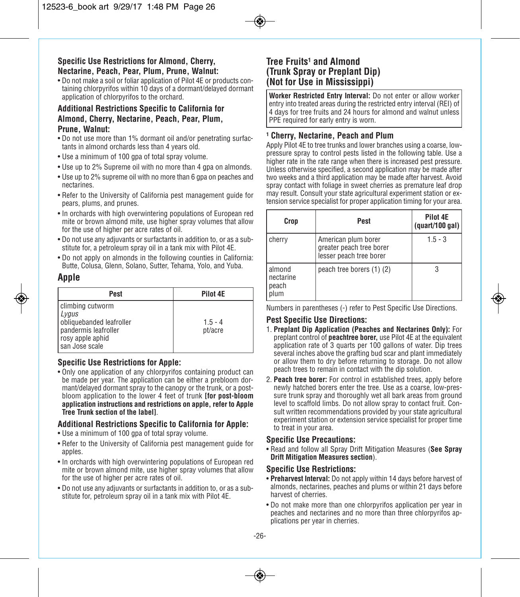## **Specific Use Restrictions for Almond, Cherry, Nectarine, Peach, Pear, Plum, Prune, Walnut:**

• Do not make a soil or foliar application of Pilot 4E or products containing chlorpyrifos within 10 days of a dormant/delayed dormant application of chlorpyrifos to the orchard.

#### **Additional Restrictions Specific to California for Almond, Cherry, Nectarine, Peach, Pear, Plum, Prune, Walnut:**

- Do not use more than 1% dormant oil and/or penetrating surfactants in almond orchards less than 4 years old.
- Use a minimum of 100 gpa of total spray volume.
- Use up to 2% Supreme oil with no more than 4 gpa on almonds.
- Use up to 2% supreme oil with no more than 6 gpa on peaches and nectarines.
- Refer to the University of California pest management guide for pears, plums, and prunes.
- In orchards with high overwintering populations of European red mite or brown almond mite, use higher spray volumes that allow for the use of higher per acre rates of oil.
- Do not use any adjuvants or surfactants in addition to, or as a substitute for, a petroleum spray oil in a tank mix with Pilot 4E.
- Do not apply on almonds in the following counties in California: Butte, Colusa, Glenn, Solano, Sutter, Tehama, Yolo, and Yuba.

### **Apple**

| Pest                                                                                                                | Pilot 4E             |
|---------------------------------------------------------------------------------------------------------------------|----------------------|
| climbing cutworm<br>Lygus<br>obliquebanded leafroller<br>pandermis leafroller<br>rosy apple aphid<br>san Jose scale | $1.5 - 4$<br>pt/acre |

#### **Specific Use Restrictions for Apple:**

• Only one application of any chlorpyrifos containing product can be made per year. The application can be either a prebloom dormant/delayed dormant spray to the canopy or the trunk, or a postbloom application to the lower 4 feet of trunk **[for post-bloom application instructions and restrictions on apple, refer to Apple Tree Trunk section of the label]**.

#### **Additional Restrictions Specific to California for Apple:**

- Use a minimum of 100 gpa of total spray volume.
- Refer to the University of California pest management guide for apples.
- In orchards with high overwintering populations of European red mite or brown almond mite, use higher spray volumes that allow for the use of higher per acre rates of oil.
- Do not use any adjuvants or surfactants in addition to, or as a substitute for, petroleum spray oil in a tank mix with Pilot 4E.

## **Tree Fruits1 and Almond (Trunk Spray or Preplant Dip) (Not for Use in Mississippi)**

**Worker Restricted Entry Interval:** Do not enter or allow worker entry into treated areas during the restricted entry interval (REI) of 4 days for tree fruits and 24 hours for almond and walnut unless PPE required for early entry is worn.

#### **<sup>1</sup> Cherry, Nectarine, Peach and Plum**

Apply Pilot 4E to tree trunks and lower branches using a coarse, lowpressure spray to control pests listed in the following table. Use a higher rate in the rate range when there is increased pest pressure. Unless otherwise specified, a second application may be made after two weeks and a third application may be made after harvest. Avoid spray contact with foliage in sweet cherries as premature leaf drop may result. Consult your state agricultural experiment station or extension service specialist for proper application timing for your area.

| Crop                                 | Pest                                                                       | Pilot 4E<br>quart/100 gal |
|--------------------------------------|----------------------------------------------------------------------------|---------------------------|
| cherry                               | American plum borer<br>greater peach tree borer<br>lesser peach tree borer | $1.5 - 3$                 |
| almond<br>nectarine<br>peach<br>olum | peach tree borers (1) (2)                                                  |                           |

Numbers in parentheses (-) refer to Pest Specific Use Directions.

#### **Pest Specific Use Directions:**

- 1. **Preplant Dip Application (Peaches and Nectarines Only):** For preplant control of **peachtree borer,** use Pilot 4E at the equivalent application rate of 3 quarts per 100 gallons of water. Dip trees several inches above the grafting bud scar and plant immediately or allow them to dry before returning to storage. Do not allow peach trees to remain in contact with the dip solution.
- 2. **Peach tree borer:** For control in established trees, apply before newly hatched borers enter the tree. Use as a coarse, low-pressure trunk spray and thoroughly wet all bark areas from ground level to scaffold limbs. Do not allow spray to contact fruit. Consult written recommendations provided by your state agricultural experiment station or extension service specialist for proper time to treat in your area.

#### **Specific Use Precautions:**

• Read and follow all Spray Drift Mitigation Measures (**See Spray Drift Mitigation Measures section**).

#### **Specific Use Restrictions:**

- **Preharvest Interval:** Do not apply within 14 days before harvest of almonds, nectarines, peaches and plums or within 21 days before harvest of cherries.
- Do not make more than one chlorpyrifos application per year in peaches and nectarines and no more than three chlorpyrifos applications per year in cherries.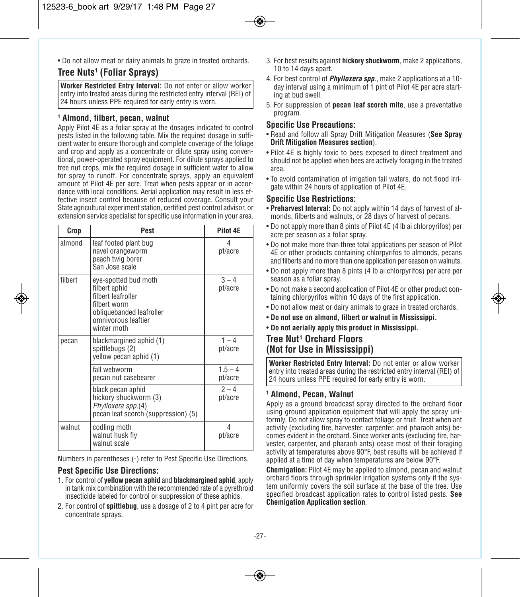• Do not allow meat or dairy animals to graze in treated orchards.

## **Tree Nuts1 (Foliar Sprays)**

**Worker Restricted Entry Interval:** Do not enter or allow worker entry into treated areas during the restricted entry interval (REI) of 24 hours unless PPE required for early entry is worn.

#### **<sup>1</sup> Almond, filbert, pecan, walnut**

Apply Pilot 4E as a foliar spray at the dosages indicated to control pests listed in the following table. Mix the required dosage in sufficient water to ensure thorough and complete coverage of the foliage and crop and apply as a concentrate or dilute spray using conventional, power-operated spray equipment. For dilute sprays applied to tree nut crops, mix the required dosage in sufficient water to allow for spray to runoff. For concentrate sprays, apply an equivalent amount of Pilot 4E per acre. Treat when pests appear or in accordance with local conditions. Aerial application may result in less effective insect control because of reduced coverage. Consult your State agricultural experiment station, certified pest control advisor, or extension service specialist for specific use information in your area.

| Crop    | Pest                                                                                                                                          | Pilot 4E             |
|---------|-----------------------------------------------------------------------------------------------------------------------------------------------|----------------------|
| almond  | leaf footed plant bug<br>navel orangeworm<br>peach twig borer<br>San Jose scale                                                               | 4<br>pt/acre         |
| filhert | eye-spotted bud moth<br>filbert aphid<br>filbert leafroller<br>filbert worm<br>obliquebanded leafroller<br>omnivorous leaftier<br>winter moth | $3 - 4$<br>pt/acre   |
| pecan   | blackmargined aphid (1)<br>spittlebugs (2)<br>yellow pecan aphid (1)                                                                          | $1 - 4$<br>pt/acre   |
|         | fall webworm<br>pecan nut casebearer                                                                                                          | $1.5 - 4$<br>pt/acre |
|         | black pecan aphid<br>hickory shuckworm (3)<br>Phylloxera spp.(4)<br>pecan leaf scorch (suppression) (5)                                       | $2 - 4$<br>pt/acre   |
| walnut  | codling moth<br>walnut husk fly<br>walnut scale                                                                                               | 4<br>pt/acre         |

Numbers in parentheses (-) refer to Pest Specific Use Directions.

#### **Pest Specific Use Directions:**

- 1. For control of **yellow pecan aphid** and **blackmargined aphid**, apply in tank mix combination with the recommended rate of a pyrethroid insecticide labeled for control or suppression of these aphids.
- 2. For control of **spittlebug**, use a dosage of 2 to 4 pint per acre for concentrate sprays.
- 3. For best results against **hickory shuckworm**, make 2 applications, 10 to 14 days apart.
- 4. For best control of *Phylloxera spp*., make 2 applications at a 10 day interval using a minimum of 1 pint of Pilot 4E per acre starting at bud swell.
- 5. For suppression of **pecan leaf scorch mite**, use a preventative program.

#### **Specific Use Precautions:**

- Read and follow all Spray Drift Mitigation Measures (**See Spray Drift Mitigation Measures section**).
- Pilot 4E is highly toxic to bees exposed to direct treatment and should not be applied when bees are actively foraging in the treated area.
- To avoid contamination of irrigation tail waters, do not flood irrigate within 24 hours of application of Pilot 4E.

#### **Specific Use Restrictions:**

- **Preharvest Interval:** Do not apply within 14 days of harvest of almonds, filberts and walnuts, or 28 days of harvest of pecans.
- Do not apply more than 8 pints of Pilot 4E (4 lb ai chlorpyrifos) per acre per season as a foliar spray.
- Do not make more than three total applications per season of Pilot 4E or other products containing chlorpyrifos to almonds, pecans and filberts and no more than one application per season on walnuts.
- Do not apply more than 8 pints (4 lb ai chlorpyrifos) per acre per season as a foliar spray.
- Do not make a second application of Pilot 4E or other product containing chlorpyrifos within 10 days of the first application.
- Do not allow meat or dairy animals to graze in treated orchards.
- **Do not use on almond, filbert or walnut in Mississippi.**
- **Do not aerially apply this product in Mississippi.**

## **Tree Nut1 Orchard Floors (Not for Use in Mississippi)**

**Worker Restricted Entry Interval:** Do not enter or allow worker entry into treated areas during the restricted entry interval (REI) of 24 hours unless PPE required for early entry is worn.

#### **<sup>1</sup> Almond, Pecan, Walnut**

Apply as a ground broadcast spray directed to the orchard floor using ground application equipment that will apply the spray uniformly. Do not allow spray to contact foliage or fruit. Treat when ant activity (excluding fire, harvester, carpenter, and pharaoh ants) becomes evident in the orchard. Since worker ants (excluding fire, harvester, carpenter, and pharaoh ants) cease most of their foraging activity at temperatures above 90°F, best results will be achieved if applied at a time of day when temperatures are below 90°F.

**Chemigation:** Pilot 4E may be applied to almond, pecan and walnut orchard floors through sprinkler irrigation systems only if the system uniformly covers the soil surface at the base of the tree. Use specified broadcast application rates to control listed pests. **See Chemigation Application section**.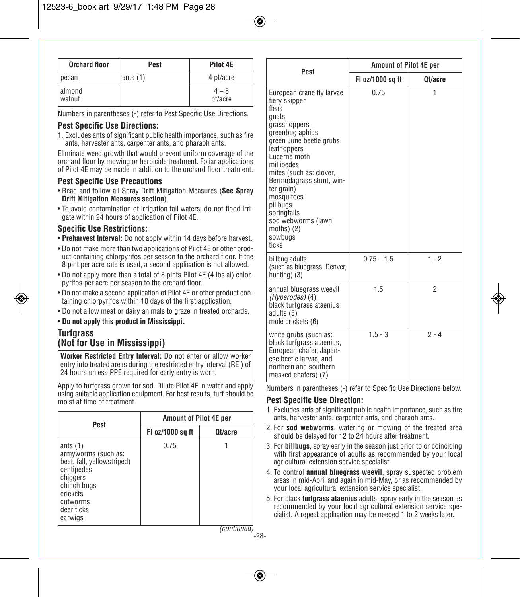| <b>Orchard floor</b> | Pest       | Pilot 4E           |
|----------------------|------------|--------------------|
| pecan                | ants $(1)$ | 4 pt/acre          |
| l almond<br>walnut   |            | $4 - 8$<br>pt/acre |

Numbers in parentheses (-) refer to Pest Specific Use Directions.

#### **Pest Specific Use Directions:**

1. Excludes ants of significant public health importance, such as fire ants, harvester ants, carpenter ants, and pharaoh ants.

Eliminate weed growth that would prevent uniform coverage of the orchard floor by mowing or herbicide treatment. Foliar applications of Pilot 4E may be made in addition to the orchard floor treatment.

#### **Pest Specific Use Precautions**

- Read and follow all Spray Drift Mitigation Measures (**See Spray Drift Mitigation Measures section**).
- To avoid contamination of irrigation tail waters, do not flood irrigate within 24 hours of application of Pilot 4E.

#### **Specific Use Restrictions:**

- **Preharvest Interval:** Do not apply within 14 days before harvest.
- Do not make more than two applications of Pilot 4E or other product containing chlorpyrifos per season to the orchard floor. If the 8 pint per acre rate is used, a second application is not allowed.
- Do not apply more than a total of 8 pints Pilot 4E (4 lbs ai) chlorpyrifos per acre per season to the orchard floor.
- Do not make a second application of Pilot 4E or other product containing chlorpyrifos within 10 days of the first application.
- Do not allow meat or dairy animals to graze in treated orchards.

#### • **Do not apply this product in Mississippi.**

## **Turfgrass (Not for Use in Mississippi)**

**Worker Restricted Entry Interval:** Do not enter or allow worker entry into treated areas during the restricted entry interval (REI) of 24 hours unless PPE required for early entry is worn.

Apply to turfgrass grown for sod. Dilute Pilot 4E in water and apply using suitable application equipment. For best results, turf should be moist at time of treatment.

| Pest                                                                                                                                                      | <b>Amount of Pilot 4E per</b> |            |
|-----------------------------------------------------------------------------------------------------------------------------------------------------------|-------------------------------|------------|
|                                                                                                                                                           | FI oz/1000 sq ft              | Ot/acre    |
| ants $(1)$<br>armyworms (such as:<br>beet, fall, yellowstriped)<br>centipedes<br>chiggers<br>chinch bugs<br>crickets<br>cutworms<br>deer ticks<br>earwigs | 0 75                          |            |
|                                                                                                                                                           |                               | 'continued |

| × |  |
|---|--|
|   |  |

| Pest                                                                                                                                                                                                                                                                                                                                            | <b>Amount of Pilot 4E per</b> |                |
|-------------------------------------------------------------------------------------------------------------------------------------------------------------------------------------------------------------------------------------------------------------------------------------------------------------------------------------------------|-------------------------------|----------------|
|                                                                                                                                                                                                                                                                                                                                                 | FI oz/1000 sq ft              | Qt/acre        |
| European crane fly larvae<br>fiery skipper<br>fleas<br>gnats<br>grasshoppers<br>greenbug aphids<br>green June beetle grubs<br>leafhoppers<br>Lucerne moth<br>millipedes<br>mites (such as: clover,<br>Bermudagrass stunt, win-<br>ter grain)<br>mosquitoes<br>pillbugs<br>springtails<br>sod webworms (lawn<br>moths) $(2)$<br>sowbugs<br>ticks | 0.75                          | 1              |
| billbug adults<br>(such as bluegrass, Denver,<br>hunting $(3)$                                                                                                                                                                                                                                                                                  | $0.75 - 1.5$                  | $1 - 2$        |
| annual bluegrass weevil<br>(Hyperodes) (4)<br>black turfgrass ataenius<br>adults (5)<br>mole crickets (6)                                                                                                                                                                                                                                       | 1.5                           | $\overline{2}$ |
| white grubs (such as:<br>black turfgrass ataenius,<br>European chafer, Japan-<br>ese beetle larvae, and<br>northern and southern<br>masked chafers) (7)                                                                                                                                                                                         | $1.5 - 3$                     | $2 - 4$        |

Numbers in parentheses (-) refer to Specific Use Directions below.

#### **Pest Specific Use Direction:**

- 1. Excludes ants of significant public health importance, such as fire ants, harvester ants, carpenter ants, and pharaoh ants.
- 2. For **sod webworms**, watering or mowing of the treated area should be delayed for 12 to 24 hours after treatment.
- 3. For **billbugs**, spray early in the season just prior to or coinciding with first appearance of adults as recommended by your local agricultural extension service specialist.
- 4. To control **annual bluegrass weevil**, spray suspected problem areas in mid-April and again in mid-May, or as recommended by your local agricultural extension service specialist.
- 5. For black **turfgrass ataenius** adults, spray early in the season as recommended by your local agricultural extension service specialist. A repeat application may be needed 1 to 2 weeks later.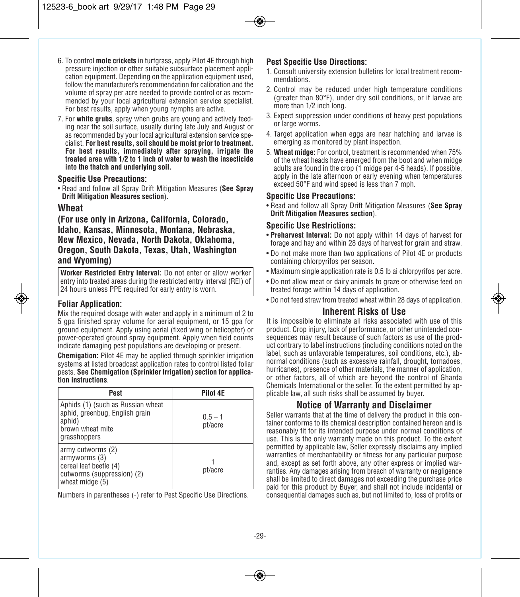- 6. To control **mole crickets** in turfgrass, apply Pilot 4E through high pressure injection or other suitable subsurface placement application equipment. Depending on the application equipment used, follow the manufacturer's recommendation for calibration and the volume of spray per acre needed to provide control or as recommended by your local agricultural extension service specialist. For best results, apply when young nymphs are active.
- 7. For **white grubs**, spray when grubs are young and actively feeding near the soil surface, usually during late July and August or as recommended by your local agricultural extension service specialist. **For best results, soil should be moist prior to treatment. For best results, immediately after spraying, irrigate the treated area with 1/2 to 1 inch of water to wash the insecticide into the thatch and underlying soil.**

#### **Specific Use Precautions:**

• Read and follow all Spray Drift Mitigation Measures (**See Spray Drift Mitigation Measures section**).

#### **Wheat**

**(For use only in Arizona, California, Colorado, Idaho, Kansas, Minnesota, Montana, Nebraska, New Mexico, Nevada, North Dakota, Oklahoma, Oregon, South Dakota, Texas, Utah, Washington and Wyoming)**

**Worker Restricted Entry Interval:** Do not enter or allow worker entry into treated areas during the restricted entry interval (REI) of 24 hours unless PPE required for early entry is worn.

#### **Foliar Application:**

Mix the required dosage with water and apply in a minimum of 2 to 5 gpa finished spray volume for aerial equipment, or 15 gpa for ground equipment. Apply using aerial (fixed wing or helicopter) or power-operated ground spray equipment. Apply when field counts indicate damaging pest populations are developing or present.

**Chemigation:** Pilot 4E may be applied through sprinkler irrigation systems at listed broadcast application rates to control listed foliar pests. **See Chemigation (Sprinkler Irrigation) section for application instructions**.

| Pest                                                                                                              | Pilot 4E             |
|-------------------------------------------------------------------------------------------------------------------|----------------------|
| Aphids (1) (such as Russian wheat<br>aphid, greenbug, English grain<br>aphid)<br>brown wheat mite<br>grasshoppers | $0.5 - 1$<br>pt/acre |
| army cutworms (2)<br>armyworms (3)<br>cereal leaf beetle (4)<br>cutworms (suppression) (2)<br>wheat midge (5)     | pt/acre              |

Numbers in parentheses (-) refer to Pest Specific Use Directions.

#### **Pest Specific Use Directions:**

- 1. Consult university extension bulletins for local treatment recommendations.
- 2. Control may be reduced under high temperature conditions (greater than 80°F), under dry soil conditions, or if larvae are more than 1/2 inch long.
- 3. Expect suppression under conditions of heavy pest populations or large worms.
- 4. Target application when eggs are near hatching and larvae is emerging as monitored by plant inspection.
- 5. **Wheat midge:** For control, treatment is recommended when 75% of the wheat heads have emerged from the boot and when midge adults are found in the crop (1 midge per 4-5 heads). If possible, apply in the late afternoon or early evening when temperatures exceed 50°F and wind speed is less than 7 mph.

#### **Specific Use Precautions:**

• Read and follow all Spray Drift Mitigation Measures (**See Spray Drift Mitigation Measures section**).

#### **Specific Use Restrictions:**

- **Preharvest Interval:** Do not apply within 14 days of harvest for forage and hay and within 28 days of harvest for grain and straw.
- Do not make more than two applications of Pilot 4E or products containing chlorpyrifos per season.
- Maximum single application rate is 0.5 lb ai chlorpyrifos per acre.
- Do not allow meat or dairy animals to graze or otherwise feed on treated forage within 14 days of application.
- Do not feed straw from treated wheat within 28 days of application.

#### **Inherent Risks of Use**

It is impossible to eliminate all risks associated with use of this product. Crop injury, lack of performance, or other unintended consequences may result because of such factors as use of the product contrary to label instructions (including conditions noted on the label, such as unfavorable temperatures, soil conditions, etc.), abnormal conditions (such as excessive rainfall, drought, tornadoes, hurricanes), presence of other materials, the manner of application, or other factors, all of which are beyond the control of Gharda Chemicals International or the seller. To the extent permitted by applicable law, all such risks shall be assumed by buyer.

## **Notice of Warranty and Disclaimer**

Seller warrants that at the time of delivery the product in this container conforms to its chemical description contained hereon and is reasonably fit for its intended purpose under normal conditions of use. This is the only warranty made on this product. To the extent permitted by applicable law, Seller expressly disclaims any implied warranties of merchantability or fitness for any particular purpose and, except as set forth above, any other express or implied warranties. Any damages arising from breach of warranty or negligence shall be limited to direct damages not exceeding the purchase price paid for this product by Buyer, and shall not include incidental or consequential damages such as, but not limited to, loss of profits or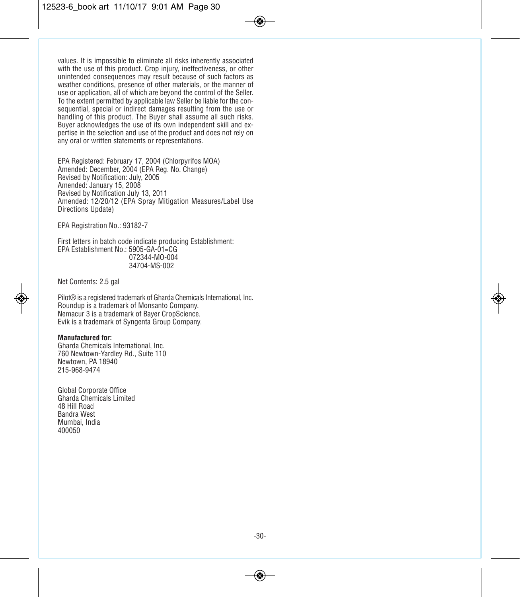values. It is impossible to eliminate all risks inherently associated with the use of this product. Crop injury, ineffectiveness, or other unintended consequences may result because of such factors as weather conditions, presence of other materials, or the manner of use or application, all of which are beyond the control of the Seller. To the extent permitted by applicable law Seller be liable for the consequential, special or indirect damages resulting from the use or handling of this product. The Buyer shall assume all such risks. Buyer acknowledges the use of its own independent skill and expertise in the selection and use of the product and does not rely on any oral or written statements or representations.

EPA Registered: February 17, 2004 (Chlorpyrifos MOA) Amended: December, 2004 (EPA Reg. No. Change) Revised by Notification: July, 2005 Amended: January 15, 2008 Revised by Notification July 13, 2011 Amended: 12/20/12 (EPA Spray Mitigation Measures/Label Use Directions Update)

EPA Registration No.: 93182-7

First letters in batch code indicate producing Establishment: EPA Establishment No.: 5905-GA-01=CG 072344-MO-004 34704-MS-002

Net Contents: 2.5 gal

Pilot® is a registered trademark of Gharda Chemicals International, Inc. Roundup is a trademark of Monsanto Company. Nemacur 3 is a trademark of Bayer CropScience. Evik is a trademark of Syngenta Group Company.

#### **Manufactured for:**

Gharda Chemicals International, Inc. 760 Newtown-Yardley Rd., Suite 110 Newtown, PA 18940 215-968-9474

Global Corporate Office Gharda Chemicals Limited 48 Hill Road Bandra West Mumbai, India 400050

-30-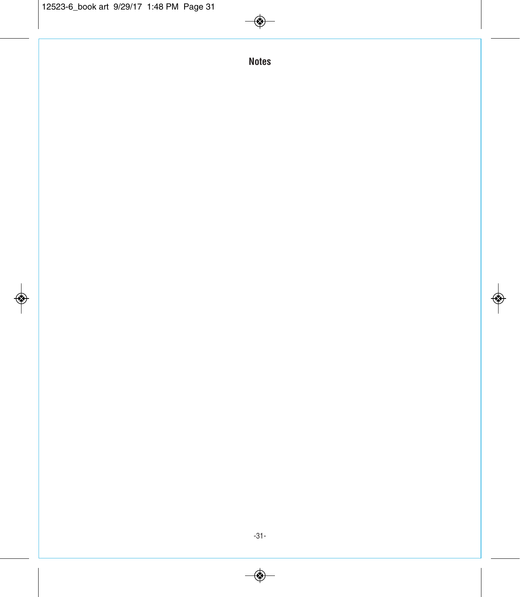$\bigcirc$ 

**Notes**

 $\overline{\bullet}$ 

◈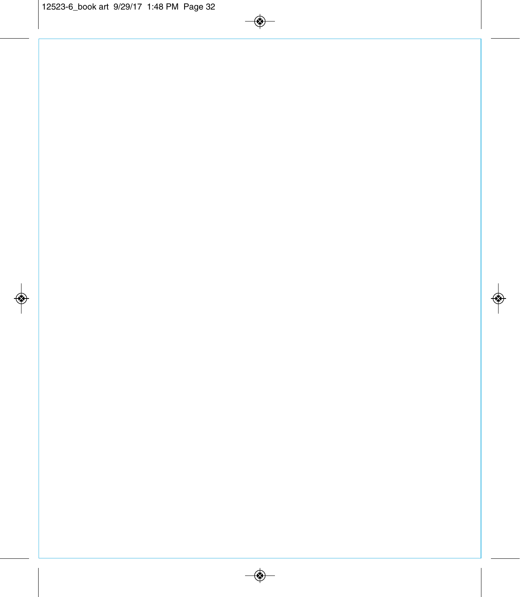$\bigoplus$ 

 $\overline{\bullet}$